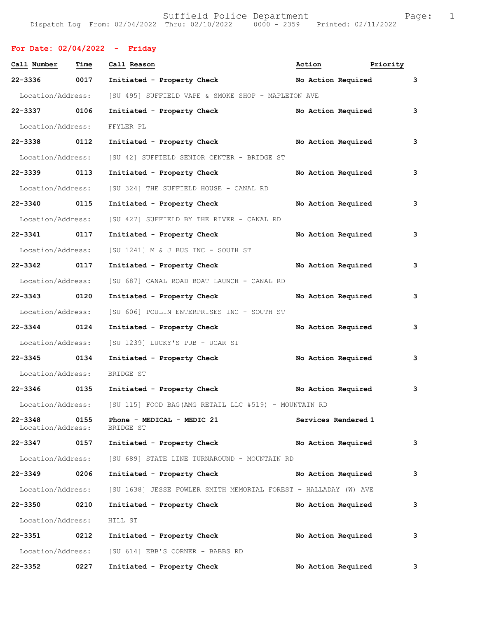## **For Date: 02/04/2022 - Friday**

| Call Number                  | Time | Call Reason                                                             | Action              | Priority                  |   |
|------------------------------|------|-------------------------------------------------------------------------|---------------------|---------------------------|---|
| 22-3336 0017                 |      | Initiated - Property Check                                              |                     | No Action Required        | 3 |
|                              |      | Location/Address: [SU 495] SUFFIELD VAPE & SMOKE SHOP - MAPLETON AVE    |                     |                           |   |
| 22-3337 0106                 |      | Initiated - Property Check                                              |                     | No Action Required        | 3 |
| Location/Address:            |      | FFYLER PL                                                               |                     |                           |   |
| 22-3338 0112                 |      | Initiated - Property Check No Action Required                           |                     |                           | 3 |
|                              |      | Location/Address: [SU 42] SUFFIELD SENIOR CENTER - BRIDGE ST            |                     |                           |   |
| 22-3339 0113                 |      | Initiated - Property Check                                              |                     | No Action Required        | 3 |
|                              |      | Location/Address: [SU 324] THE SUFFIELD HOUSE - CANAL RD                |                     |                           |   |
| 22-3340 0115                 |      | Initiated - Property Check                                              |                     | No Action Required        | 3 |
|                              |      | Location/Address: [SU 427] SUFFIELD BY THE RIVER - CANAL RD             |                     |                           |   |
| 22-3341 0117                 |      | Initiated - Property Check                                              | No Action Required  |                           | 3 |
|                              |      | Location/Address: [SU 1241] M & J BUS INC - SOUTH ST                    |                     |                           |   |
| 22-3342 0117                 |      | Initiated - Property Check                                              |                     | <b>No Action Required</b> | 3 |
|                              |      | Location/Address: [SU 687] CANAL ROAD BOAT LAUNCH - CANAL RD            |                     |                           |   |
| 22-3343 0120                 |      | Initiated - Property Check                                              | No Action Required  |                           | 3 |
|                              |      | Location/Address: [SU 606] POULIN ENTERPRISES INC - SOUTH ST            |                     |                           |   |
| 22-3344 0124                 |      | Initiated - Property Check                                              | No Action Required  |                           | 3 |
|                              |      | Location/Address: [SU 1239] LUCKY'S PUB - UCAR ST                       |                     |                           |   |
| 22-3345 0134                 |      | Initiated - Property Check                                              |                     | <b>No Action Required</b> | 3 |
| Location/Address:            |      | BRIDGE ST                                                               |                     |                           |   |
|                              |      | 22-3346 0135 Initiated - Property Check No Action Required              |                     |                           | 3 |
|                              |      | Location/Address: [SU 115] FOOD BAG (AMG RETAIL LLC #519) - MOUNTAIN RD |                     |                           |   |
| 22-3348<br>Location/Address: | 0155 | Phone - MEDICAL - MEDIC 21<br>BRIDGE ST                                 | Services Rendered 1 |                           |   |
| 22-3347 0157                 |      | Initiated - Property Check                                              | No Action Required  |                           | 3 |
|                              |      | Location/Address: [SU 689] STATE LINE TURNAROUND - MOUNTAIN RD          |                     |                           |   |
| $22 - 3349$                  | 0206 | Initiated - Property Check                                              | No Action Required  |                           | 3 |
| Location/Address:            |      | [SU 1638] JESSE FOWLER SMITH MEMORIAL FOREST - HALLADAY (W) AVE         |                     |                           |   |
| 22-3350                      | 0210 | Initiated - Property Check                                              | No Action Required  |                           | 3 |
| Location/Address:            |      | HILL ST                                                                 |                     |                           |   |
| 22-3351 0212                 |      | Initiated - Property Check                                              | No Action Required  |                           | 3 |
|                              |      | Location/Address: [SU 614] EBB'S CORNER - BABBS RD                      |                     |                           |   |
| 22-3352                      | 0227 | Initiated - Property Check                                              | No Action Required  |                           | 3 |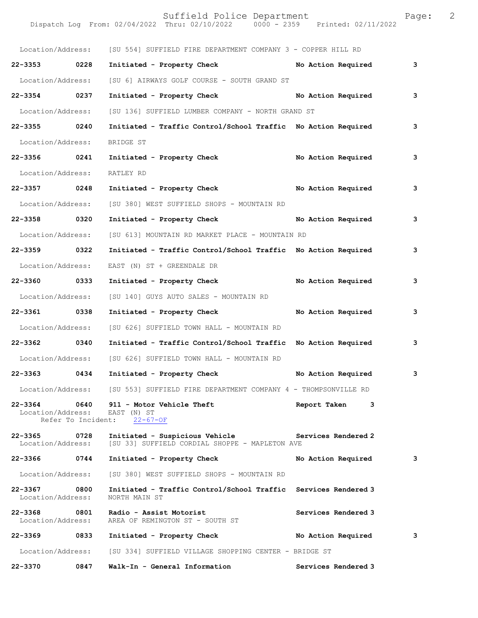Suffield Police Department Fage: 2 Dispatch Log From: 02/04/2022 Thru: 02/10/2022 0000 - 2359 Printed: 02/11/2022 Location/Address: [SU 554] SUFFIELD FIRE DEPARTMENT COMPANY 3 - COPPER HILL RD **22-3353 0228 Initiated - Property Check No Action Required 3** Location/Address: [SU 6] AIRWAYS GOLF COURSE - SOUTH GRAND ST **22-3354 0237 Initiated - Property Check No Action Required 3** Location/Address: [SU 136] SUFFIELD LUMBER COMPANY - NORTH GRAND ST **22-3355 0240 Initiated - Traffic Control/School Traffic No Action Required 3** Location/Address: BRIDGE ST **22-3356 0241 Initiated - Property Check No Action Required 3** Location/Address: RATLEY RD **22-3357 0248 Initiated - Property Check No Action Required 3** Location/Address: [SU 380] WEST SUFFIELD SHOPS - MOUNTAIN RD **22-3358 0320 Initiated - Property Check No Action Required 3** Location/Address: [SU 613] MOUNTAIN RD MARKET PLACE - MOUNTAIN RD **22-3359 0322 Initiated - Traffic Control/School Traffic No Action Required 3** Location/Address: EAST (N) ST + GREENDALE DR **22-3360 0333 Initiated - Property Check No Action Required 3** Location/Address: [SU 140] GUYS AUTO SALES - MOUNTAIN RD **22-3361 0338 Initiated - Property Check No Action Required 3** Location/Address: [SU 626] SUFFIELD TOWN HALL - MOUNTAIN RD **22-3362 0340 Initiated - Traffic Control/School Traffic No Action Required 3** Location/Address: [SU 626] SUFFIELD TOWN HALL - MOUNTAIN RD **22-3363 0434 Initiated - Property Check No Action Required 3** Location/Address: [SU 553] SUFFIELD FIRE DEPARTMENT COMPANY 4 - THOMPSONVILLE RD **22-3364 0640 911 - Motor Vehicle Theft Report Taken 3** <br>Location/Address: EAST (N) ST Location/Address: EAST (N) ST<br>Refer To Incident: 22-67-OF Refer To Incident: **22-3365 0728 Initiated - Suspicious Vehicle Services Rendered 2**  Location/Address: [SU 33] SUFFIELD CORDIAL SHOPPE - MAPLETON AVE **22-3366 0744 Initiated - Property Check No Action Required 3** Location/Address: [SU 380] WEST SUFFIELD SHOPS - MOUNTAIN RD **22-3367 0800 Initiated - Traffic Control/School Traffic Services Rendered 3**  Location/Address: **22-3368 0801 Radio - Assist Motorist Services Rendered 3**  Location/Address: AREA OF REMINGTON ST - SOUTH ST **22-3369 0833 Initiated - Property Check No Action Required 3** Location/Address: [SU 334] SUFFIELD VILLAGE SHOPPING CENTER - BRIDGE ST

**22-3370 0847 Walk-In - General Information Services Rendered 3**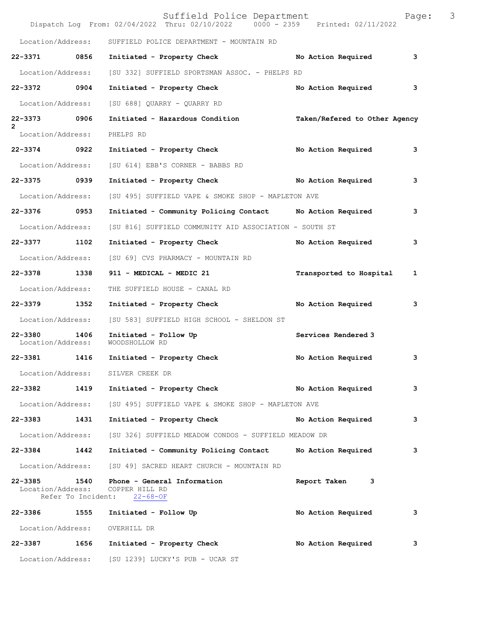|                                     |      | Suffield Police Department<br>Dispatch Log From: 02/04/2022 Thru: 02/10/2022 0000 - 2359 Printed: 02/11/2022 |                               | Page: | 3 |
|-------------------------------------|------|--------------------------------------------------------------------------------------------------------------|-------------------------------|-------|---|
| Location/Address:                   |      | SUFFIELD POLICE DEPARTMENT - MOUNTAIN RD                                                                     |                               |       |   |
| 22-3371 0856                        |      | Initiated - Property Check No Action Required                                                                |                               | 3     |   |
| Location/Address:                   |      | [SU 332] SUFFIELD SPORTSMAN ASSOC. - PHELPS RD                                                               |                               |       |   |
| 22-3372 0904                        |      | Initiated - Property Check                                                                                   | No Action Required            | 3     |   |
| Location/Address:                   |      | [SU 688] QUARRY - QUARRY RD                                                                                  |                               |       |   |
| 22-3373 0906                        |      | Initiated - Hazardous Condition                                                                              | Taken/Refered to Other Agency |       |   |
| $\overline{2}$<br>Location/Address: |      | PHELPS RD                                                                                                    |                               |       |   |
| 22-3374 0922                        |      | Initiated - Property Check                                                                                   | No Action Required            | 3     |   |
| Location/Address:                   |      | [SU 614] EBB'S CORNER - BABBS RD                                                                             |                               |       |   |
| 22-3375 0939                        |      | Initiated - Property Check No Action Required                                                                |                               | 3     |   |
| Location/Address:                   |      | [SU 495] SUFFIELD VAPE & SMOKE SHOP - MAPLETON AVE                                                           |                               |       |   |
| 22-3376 0953                        |      | Initiated - Community Policing Contact Mo Action Required                                                    |                               | 3     |   |
| Location/Address:                   |      | [SU 816] SUFFIELD COMMUNITY AID ASSOCIATION - SOUTH ST                                                       |                               |       |   |
| 22-3377                             | 1102 | Initiated - Property Check                                                                                   | No Action Required            | 3     |   |
| Location/Address:                   |      | [SU 69] CVS PHARMACY - MOUNTAIN RD                                                                           |                               |       |   |
| 22-3378 1338                        |      | 911 - MEDICAL - MEDIC 21                                                                                     | Transported to Hospital       | 1     |   |
| Location/Address:                   |      | THE SUFFIELD HOUSE - CANAL RD                                                                                |                               |       |   |
| 22-3379 1352                        |      | Initiated - Property Check                                                                                   | No Action Required            | 3     |   |
| Location/Address:                   |      | [SU 583] SUFFIELD HIGH SCHOOL - SHELDON ST                                                                   |                               |       |   |
| 22-3380 1406<br>Location/Address:   |      | Initiated - Follow Up<br>WOODSHOLLOW RD                                                                      | Services Rendered 3           |       |   |
|                                     |      | 22-3381 1416 Initiated - Property Check                                                                      | No Action Required            |       |   |
|                                     |      | Location/Address: SILVER CREEK DR                                                                            |                               |       |   |
| 22-3382 1419                        |      | Initiated - Property Check No Action Required                                                                |                               | 3     |   |
|                                     |      | Location/Address: [SU 495] SUFFIELD VAPE & SMOKE SHOP - MAPLETON AVE                                         |                               |       |   |
| 22-3383 1431                        |      | Initiated - Property Check No Action Required                                                                |                               | 3     |   |
| Location/Address:                   |      | [SU 326] SUFFIELD MEADOW CONDOS - SUFFIELD MEADOW DR                                                         |                               |       |   |
| 22-3384 1442                        |      | Initiated - Community Policing Contact Mo Action Required                                                    |                               | 3     |   |
|                                     |      | Location/Address: [SU 49] SACRED HEART CHURCH - MOUNTAIN RD                                                  |                               |       |   |
|                                     |      | 22-3385 1540 Phone - General Information<br>Location/Address: COPPER HILL RD<br>Refer To Incident: 22-68-OF  | Report Taken 3                |       |   |
|                                     |      | 22-3386 1555 Initiated - Follow Up                                                                           | No Action Required            | 3     |   |
|                                     |      | Location/Address: OVERHILL DR                                                                                |                               |       |   |
|                                     |      | 22-3387 1656 Initiated - Property Check No Action Required                                                   |                               | 3     |   |
|                                     |      | Location/Address: [SU 1239] LUCKY'S PUB - UCAR ST                                                            |                               |       |   |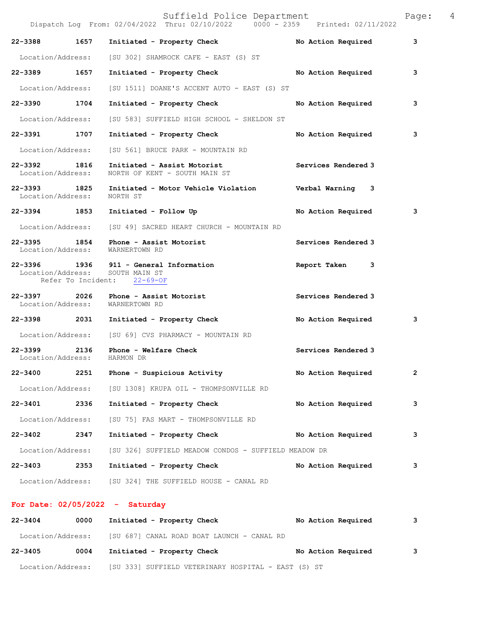|                                   |      | Suffield Police Department<br>Dispatch Log From: 02/04/2022 Thru: 02/10/2022 0000 - 2359 Printed: 02/11/2022 |                     | Page:        | 4 |
|-----------------------------------|------|--------------------------------------------------------------------------------------------------------------|---------------------|--------------|---|
| 22-3388                           | 1657 | Initiated - Property Check                                                                                   | No Action Required  | 3            |   |
| Location/Address:                 |      | [SU 302] SHAMROCK CAFE - EAST (S) ST                                                                         |                     |              |   |
| 22-3389 1657                      |      | Initiated - Property Check                                                                                   | No Action Required  | 3            |   |
| Location/Address:                 |      | [SU 1511] DOANE'S ACCENT AUTO - EAST (S) ST                                                                  |                     |              |   |
| 22-3390 1704                      |      | Initiated - Property Check                                                                                   | No Action Required  | 3            |   |
| Location/Address:                 |      | [SU 583] SUFFIELD HIGH SCHOOL - SHELDON ST                                                                   |                     |              |   |
| 22-3391 1707                      |      | Initiated - Property Check                                                                                   | No Action Required  | 3            |   |
| Location/Address:                 |      | [SU 561] BRUCE PARK - MOUNTAIN RD                                                                            |                     |              |   |
| 22-3392 1816<br>Location/Address: |      | Initiated - Assist Motorist<br>NORTH OF KENT - SOUTH MAIN ST                                                 | Services Rendered 3 |              |   |
| 22-3393 1825<br>Location/Address: |      | Initiated - Motor Vehicle Violation Verbal Warning 3<br>NORTH ST                                             |                     |              |   |
| 22-3394 1853                      |      | Initiated - Follow Up                                                                                        | No Action Required  | 3            |   |
| Location/Address:                 |      | [SU 49] SACRED HEART CHURCH - MOUNTAIN RD                                                                    |                     |              |   |
| 22-3395 1854                      |      | Phone - Assist Motorist<br>Location/Address: WARNERTOWN RD                                                   | Services Rendered 3 |              |   |
|                                   |      | 22-3396 1936 911 - General Information<br>Location/Address: SOUTH MAIN ST<br>Refer To Incident: 22-69-OF     | Report Taken<br>3   |              |   |
| 22-3397 2026                      |      | Phone - Assist Motorist<br>Location/Address: WARNERTOWN RD                                                   | Services Rendered 3 |              |   |
| 22-3398 2031                      |      | Initiated - Property Check                                                                                   | No Action Required  | 3            |   |
|                                   |      | Location/Address: [SU 69] CVS PHARMACY - MOUNTAIN RD                                                         |                     |              |   |
| 22–3399 2136<br>Location/Address: |      | Phone - Welfare Check<br>HARMON DR                                                                           | Services Rendered 3 |              |   |
| 22-3400                           | 2251 | Phone - Suspicious Activity                                                                                  | No Action Required  | $\mathbf{2}$ |   |
| Location/Address:                 |      | [SU 1308] KRUPA OIL - THOMPSONVILLE RD                                                                       |                     |              |   |
| 22-3401                           | 2336 | Initiated - Property Check                                                                                   | No Action Required  | 3            |   |
| Location/Address:                 |      | [SU 75] FAS MART - THOMPSONVILLE RD                                                                          |                     |              |   |
| 22-3402                           | 2347 | Initiated - Property Check                                                                                   | No Action Required  | 3            |   |
| Location/Address:                 |      | [SU 326] SUFFIELD MEADOW CONDOS - SUFFIELD MEADOW DR                                                         |                     |              |   |
| 22-3403                           | 2353 | Initiated - Property Check                                                                                   | No Action Required  | 3            |   |
|                                   |      | Location/Address: [SU 324] THE SUFFIELD HOUSE - CANAL RD                                                     |                     |              |   |
|                                   |      | For Date: $02/05/2022 - Saturday$                                                                            |                     |              |   |

## 22-3404 0000 Initiated - Property Check **No Action Required** 3 Location/Address: [SU 687] CANAL ROAD BOAT LAUNCH - CANAL RD **22-3405 0004 Initiated - Property Check No Action Required 3** Location/Address: [SU 333] SUFFIELD VETERINARY HOSPITAL - EAST (S) ST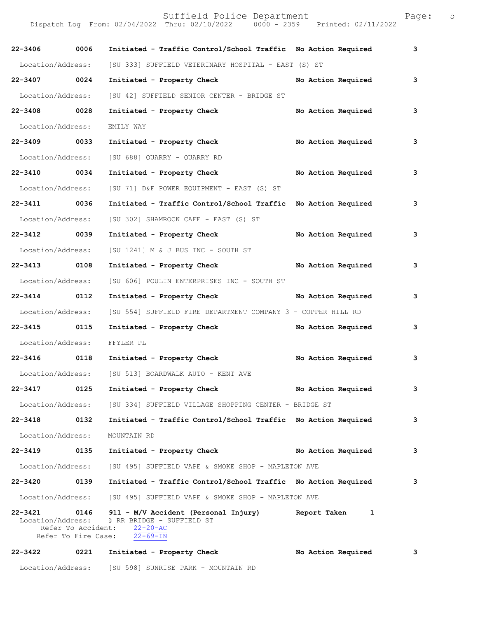Dispatch Log From: 02/04/2022 Thru: 02/10/2022 0000 - 2359 Printed: 02/11/2022 **22-3406 0006 Initiated - Traffic Control/School Traffic No Action Required 3** Location/Address: [SU 333] SUFFIELD VETERINARY HOSPITAL - EAST (S) ST **22-3407 0024 Initiated - Property Check No Action Required 3** Location/Address: [SU 42] SUFFIELD SENIOR CENTER - BRIDGE ST **22-3408 0028 Initiated - Property Check No Action Required 3** Location/Address: EMILY WAY **22-3409 0033 Initiated - Property Check No Action Required 3** Location/Address: [SU 688] QUARRY - QUARRY RD **22-3410 0034 Initiated - Property Check No Action Required 3** Location/Address: [SU 71] D&F POWER EQUIPMENT - EAST (S) ST **22-3411 0036 Initiated - Traffic Control/School Traffic No Action Required 3** Location/Address: [SU 302] SHAMROCK CAFE - EAST (S) ST **22-3412 0039 Initiated - Property Check No Action Required 3** Location/Address: [SU 1241] M & J BUS INC - SOUTH ST **22-3413 0108 Initiated - Property Check No Action Required 3** Location/Address: [SU 606] POULIN ENTERPRISES INC - SOUTH ST **22-3414 0112 Initiated - Property Check No Action Required 3** Location/Address: [SU 554] SUFFIELD FIRE DEPARTMENT COMPANY 3 - COPPER HILL RD **22-3415 0115 Initiated - Property Check No Action Required 3** Location/Address: FFYLER PL **22-3416 0118 Initiated - Property Check No Action Required 3** Location/Address: [SU 513] BOARDWALK AUTO - KENT AVE **22-3417 0125 Initiated - Property Check No Action Required 3** Location/Address: [SU 334] SUFFIELD VILLAGE SHOPPING CENTER - BRIDGE ST **22-3418 0132 Initiated - Traffic Control/School Traffic No Action Required 3** Location/Address: MOUNTAIN RD **22-3419 0135 Initiated - Property Check No Action Required 3** Location/Address: [SU 495] SUFFIELD VAPE & SMOKE SHOP - MAPLETON AVE **22-3420 0139 Initiated - Traffic Control/School Traffic No Action Required 3** Location/Address: [SU 495] SUFFIELD VAPE & SMOKE SHOP - MAPLETON AVE **22-3421 0146 911 - M/V Accident (Personal Injury) Report Taken 1**  Location/Address: @ RR BRIDGE - SUFFIELD ST Refer To Accident:  $\frac{22-20-AC}{22-69-IN}$ Refer To Fire Case: **22-3422 0221 Initiated - Property Check No Action Required 3**

Location/Address: [SU 598] SUNRISE PARK - MOUNTAIN RD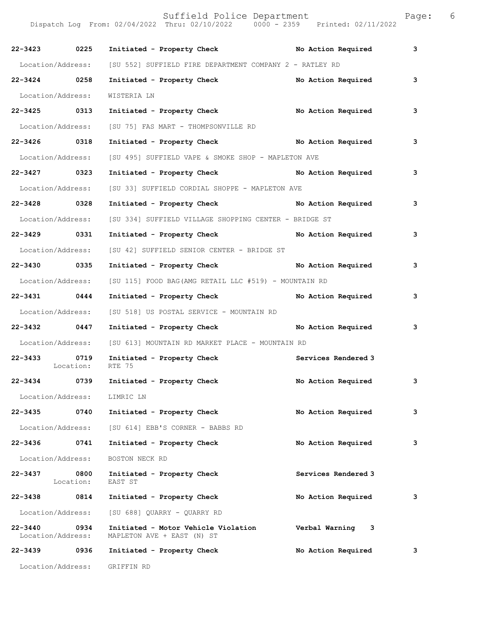| 22-3423 0225      |                           | Initiated - Property Check No Action Required                             |                     | 3 |
|-------------------|---------------------------|---------------------------------------------------------------------------|---------------------|---|
|                   |                           | Location/Address: [SU 552] SUFFIELD FIRE DEPARTMENT COMPANY 2 - RATLEY RD |                     |   |
| 22-3424 0258      |                           | Initiated - Property Check                                                | No Action Required  | 3 |
| Location/Address: |                           | WISTERIA LN                                                               |                     |   |
| 22-3425 0313      |                           | Initiated - Property Check No Action Required                             |                     | 3 |
| Location/Address: |                           | [SU 75] FAS MART - THOMPSONVILLE RD                                       |                     |   |
| 22-3426 0318      |                           | Initiated - Property Check No Action Required                             |                     | 3 |
|                   |                           | Location/Address: [SU 495] SUFFIELD VAPE & SMOKE SHOP - MAPLETON AVE      |                     |   |
| 22-3427 0323      |                           | Initiated - Property Check No Action Required                             |                     | 3 |
|                   | Location/Address:         | [SU 33] SUFFIELD CORDIAL SHOPPE - MAPLETON AVE                            |                     |   |
| 22-3428 0328      |                           | Initiated - Property Check No Action Required                             |                     | 3 |
| Location/Address: |                           | [SU 334] SUFFIELD VILLAGE SHOPPING CENTER - BRIDGE ST                     |                     |   |
| 22-3429 0331      |                           | Initiated - Property Check No Action Required                             |                     | 3 |
| Location/Address: |                           | [SU 42] SUFFIELD SENIOR CENTER - BRIDGE ST                                |                     |   |
| 22-3430 0335      |                           | Initiated - Property Check No Action Required                             |                     | 3 |
|                   |                           | Location/Address: [SU 115] FOOD BAG(AMG RETAIL LLC #519) - MOUNTAIN RD    |                     |   |
| 22-3431 0444      |                           | Initiated - Property Check No Action Required                             |                     | 3 |
|                   | Location/Address:         | [SU 518] US POSTAL SERVICE - MOUNTAIN RD                                  |                     |   |
| 22-3432 0447      |                           | Initiated - Property Check No Action Required                             |                     | 3 |
| Location/Address: |                           | [SU 613] MOUNTAIN RD MARKET PLACE - MOUNTAIN RD                           |                     |   |
| 22-3433 0719      | Location:                 | Initiated - Property Check<br>RTE 75                                      | Services Rendered 3 |   |
| 22-3434 0739      |                           | Initiated - Property Check                                                | No Action Required  | 3 |
|                   |                           | Location/Address: LIMRIC LN                                               |                     |   |
| 22-3435 0740      |                           | Initiated - Property Check                                                | No Action Required  | 3 |
|                   | Location/Address:         | [SU 614] EBB'S CORNER - BABBS RD                                          |                     |   |
| 22-3436           | 0741                      | Initiated - Property Check                                                | No Action Required  | 3 |
| Location/Address: |                           | BOSTON NECK RD                                                            |                     |   |
| 22-3437 0800      | Location:                 | Initiated - Property Check<br>EAST ST                                     | Services Rendered 3 |   |
| 22-3438           | 0814                      | Initiated - Property Check                                                | No Action Required  | 3 |
|                   | Location/Address:         | [SU 688] QUARRY - QUARRY RD                                               |                     |   |
| 22-3440           | 0934<br>Location/Address: | Initiated - Motor Vehicle Violation<br>MAPLETON AVE + EAST (N) ST         | Verbal Warning<br>3 |   |
| 22–3439 0936      |                           | Initiated - Property Check                                                | No Action Required  | 3 |
| Location/Address: |                           | GRIFFIN RD                                                                |                     |   |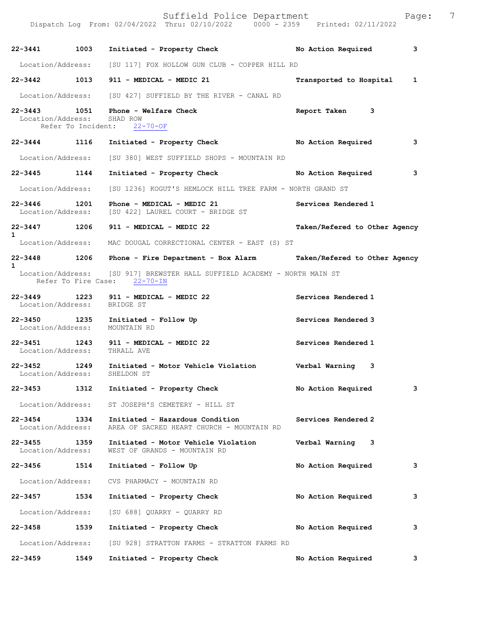Suffield Police Department Page: 7 Dispatch Log From: 02/04/2022 Thru: 02/10/2022 0000 - 2359 Printed: 02/11/2022 **22-3441 1003 Initiated - Property Check No Action Required 3** Location/Address: [SU 117] FOX HOLLOW GUN CLUB - COPPER HILL RD **22-3442 1013 911 - MEDICAL - MEDIC 21 Transported to Hospital 1** Location/Address: [SU 427] SUFFIELD BY THE RIVER - CANAL RD **22-3443 1051 Phone - Welfare Check Report Taken 3**  Location/Address: SHAD ROW<br>Refer To Incident: 22-70-OF Refer To Incident: **22-3444 1116 Initiated - Property Check No Action Required 3** Location/Address: [SU 380] WEST SUFFIELD SHOPS - MOUNTAIN RD **22-3445 1144 Initiated - Property Check No Action Required 3** Location/Address: [SU 1236] KOGUT'S HEMLOCK HILL TREE FARM - NORTH GRAND ST **22-3446 1201 Phone - MEDICAL - MEDIC 21 Services Rendered 1**  Location/Address: [SU 422] LAUREL COURT - BRIDGE ST **22-3447 1206 911 - MEDICAL - MEDIC 22 Taken/Refered to Other Agency 1**  Location/Address: MAC DOUGAL CORRECTIONAL CENTER - EAST (S) ST **22-3448 1206 Phone - Fire Department - Box Alarm Taken/Refered to Other Agency 1**<br>Location/Address: [SU 917] BREWSTER HALL SUFFIELD ACADEMY - NORTH MAIN ST Refer To Fire Case: 22-70-IN **22-3449 1223 911 - MEDICAL - MEDIC 22 Services Rendered 1**  Location/Address: **22-3450 1235 Initiated - Follow Up Services Rendered 3**  Location/Address: MOUNTAIN RD **22-3451 1243 911 - MEDICAL - MEDIC 22 Services Rendered 1**  Location/Address: THRALL AVE **22-3452 1249 Initiated - Motor Vehicle Violation Verbal Warning 3**  Location/Address: **22-3453 1312 Initiated - Property Check No Action Required 3** Location/Address: ST JOSEPH'S CEMETERY - HILL ST **22-3454 1334 Initiated - Hazardous Condition Services Rendered 2**  AREA OF SACRED HEART CHURCH - MOUNTAIN RD **22-3455 1359 Initiated - Motor Vehicle Violation Verbal Warning 3**  WEST OF GRANDS - MOUNTAIN RD **22-3456 1514 Initiated - Follow Up No Action Required 3** Location/Address: CVS PHARMACY - MOUNTAIN RD **22-3457 1534 Initiated - Property Check No Action Required 3** Location/Address: [SU 688] QUARRY - QUARRY RD **22-3458 1539 Initiated - Property Check No Action Required 3** Location/Address: [SU 928] STRATTON FARMS - STRATTON FARMS RD **22-3459 1549 Initiated - Property Check No Action Required 3**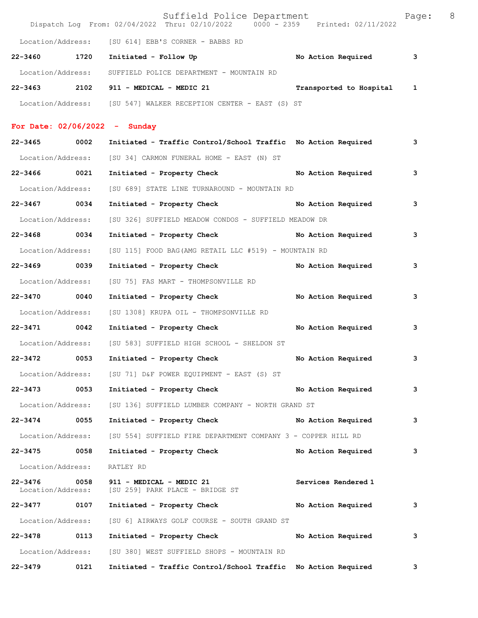|                                  |      | Suffield Police Department<br>Dispatch Log From: 02/04/2022 Thru: 02/10/2022 0000 - 2359 Printed: 02/11/2022 |                         | Page: | 8 |
|----------------------------------|------|--------------------------------------------------------------------------------------------------------------|-------------------------|-------|---|
|                                  |      | Location/Address: [SU 614] EBB'S CORNER - BABBS RD                                                           |                         |       |   |
| 22-3460 1720                     |      | Initiated - Follow Up                                                                                        | No Action Required      | 3     |   |
| Location/Address:                |      | SUFFIELD POLICE DEPARTMENT - MOUNTAIN RD                                                                     |                         |       |   |
|                                  |      | 22-3463 2102 911 - MEDICAL - MEDIC 21                                                                        | Transported to Hospital | 1     |   |
|                                  |      | Location/Address: [SU 547] WALKER RECEPTION CENTER - EAST (S) ST                                             |                         |       |   |
|                                  |      | For Date: $02/06/2022 -$ Sunday                                                                              |                         |       |   |
| 22-3465                          | 0002 | Initiated - Traffic Control/School Traffic No Action Required                                                |                         | 3     |   |
| Location/Address:                |      | [SU 34] CARMON FUNERAL HOME - EAST (N) ST                                                                    |                         |       |   |
| 22-3466 0021                     |      | Initiated - Property Check                                                                                   | No Action Required      | з     |   |
| Location/Address:                |      | [SU 689] STATE LINE TURNAROUND - MOUNTAIN RD                                                                 |                         |       |   |
| 22-3467 0034                     |      | Initiated - Property Check No Action Required                                                                |                         | 3     |   |
| Location/Address:                |      | [SU 326] SUFFIELD MEADOW CONDOS - SUFFIELD MEADOW DR                                                         |                         |       |   |
| 22-3468 0034                     |      | Initiated - Property Check No Action Required                                                                |                         | 3     |   |
| Location/Address:                |      | [SU 115] FOOD BAG(AMG RETAIL LLC #519) - MOUNTAIN RD                                                         |                         |       |   |
| 22-3469 0039                     |      | Initiated - Property Check No Action Required                                                                |                         | 3     |   |
| Location/Address:                |      | [SU 75] FAS MART - THOMPSONVILLE RD                                                                          |                         |       |   |
| 22-3470 0040                     |      | Initiated - Property Check                                                                                   | No Action Required      | з     |   |
| Location/Address:                |      | [SU 1308] KRUPA OIL - THOMPSONVILLE RD                                                                       |                         |       |   |
| 22-3471 0042                     |      | Initiated - Property Check                                                                                   | No Action Required      | 3     |   |
| Location/Address:                |      | [SU 583] SUFFIELD HIGH SCHOOL - SHELDON ST                                                                   |                         |       |   |
| 22-3472                          | 0053 | Initiated - Property Check                                                                                   | No Action Required      | 3     |   |
|                                  |      | Location/Address: [SU 71] D&F POWER EQUIPMENT - EAST (S) ST                                                  |                         |       |   |
| $22 - 3473$                      | 0053 | Initiated - Property Check                                                                                   | No Action Required      | 3     |   |
| Location/Address:                |      | [SU 136] SUFFIELD LUMBER COMPANY - NORTH GRAND ST                                                            |                         |       |   |
| 22-3474                          | 0055 | Initiated - Property Check                                                                                   | No Action Required      | 3     |   |
| Location/Address:                |      | [SU 554] SUFFIELD FIRE DEPARTMENT COMPANY 3 - COPPER HILL RD                                                 |                         |       |   |
| 22-3475 0058                     |      | Initiated - Property Check                                                                                   | No Action Required      | з     |   |
| Location/Address:                |      | RATLEY RD                                                                                                    |                         |       |   |
| $22 - 3476$<br>Location/Address: | 0058 | 911 - MEDICAL - MEDIC 21<br>[SU 259] PARK PLACE - BRIDGE ST                                                  | Services Rendered 1     |       |   |
| 22-3477                          | 0107 | Initiated - Property Check                                                                                   | No Action Required      | 3     |   |
| Location/Address:                |      | [SU 6] AIRWAYS GOLF COURSE - SOUTH GRAND ST                                                                  |                         |       |   |
| 22-3478                          | 0113 | Initiated - Property Check                                                                                   | No Action Required      | з     |   |
| Location/Address:                |      | [SU 380] WEST SUFFIELD SHOPS - MOUNTAIN RD                                                                   |                         |       |   |
| 22-3479                          | 0121 | Initiated - Traffic Control/School Traffic No Action Required                                                |                         | 3     |   |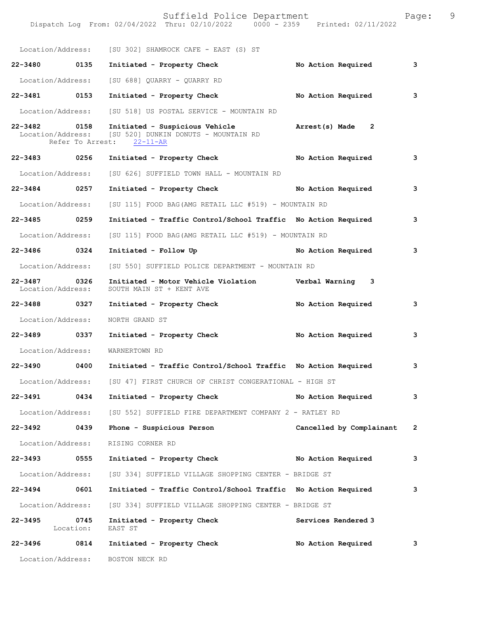|                                   |                   | Suffield Police Department<br>Dispatch Log From: 02/04/2022 Thru: 02/10/2022 0000 - 2359 Printed: 02/11/2022          |                                | Page:          | 9 |
|-----------------------------------|-------------------|-----------------------------------------------------------------------------------------------------------------------|--------------------------------|----------------|---|
|                                   |                   |                                                                                                                       |                                |                |   |
|                                   |                   | Location/Address: [SU 302] SHAMROCK CAFE - EAST (S) ST                                                                |                                |                |   |
| 22-3480 0135                      |                   | Initiated - Property Check                                                                                            | No Action Required             | 3              |   |
| Location/Address:                 |                   | [SU 688] QUARRY - QUARRY RD                                                                                           |                                |                |   |
| 22-3481 0153                      |                   | Initiated - Property Check                                                                                            | No Action Required             | 3              |   |
| Location/Address:                 |                   | [SU 518] US POSTAL SERVICE - MOUNTAIN RD                                                                              |                                |                |   |
| 22-3482 0158                      |                   | Initiated - Suspicious Vehicle<br>Location/Address: [SU 520] DUNKIN DONUTS - MOUNTAIN RD<br>Refer To Arrest: 22-11-AR | Arrest(s) Made<br>$\mathbf{2}$ |                |   |
| 22-3483 0256                      |                   | Initiated - Property Check No Action Required                                                                         |                                | 3              |   |
| Location/Address:                 |                   | [SU 626] SUFFIELD TOWN HALL - MOUNTAIN RD                                                                             |                                |                |   |
| 22-3484 0257                      |                   | Initiated - Property Check                                                                                            | No Action Required             | 3              |   |
| Location/Address:                 |                   | [SU 115] FOOD BAG (AMG RETAIL LLC #519) - MOUNTAIN RD                                                                 |                                |                |   |
| 22-3485 0259                      |                   | Initiated - Traffic Control/School Traffic No Action Required                                                         |                                | 3              |   |
| Location/Address:                 |                   | [SU 115] FOOD BAG(AMG RETAIL LLC #519) - MOUNTAIN RD                                                                  |                                |                |   |
| 22-3486 0324                      |                   | Initiated - Follow Up                                                                                                 | No Action Required             | 3              |   |
| Location/Address:                 |                   | [SU 550] SUFFIELD POLICE DEPARTMENT - MOUNTAIN RD                                                                     |                                |                |   |
| 22-3487 0326<br>Location/Address: |                   | Initiated - Motor Vehicle Violation Verbal Warning 3<br>SOUTH MAIN ST + KENT AVE                                      |                                |                |   |
| 22-3488 0327                      |                   | Initiated - Property Check                                                                                            | No Action Required             | 3              |   |
| Location/Address:                 |                   | NORTH GRAND ST                                                                                                        |                                |                |   |
| 22–3489 0337                      |                   | Initiated - Property Check                                                                                            | No Action Required             | 3              |   |
| Location/Address:                 |                   | WARNERTOWN RD                                                                                                         |                                |                |   |
| 22-3490                           | 0400              | Initiated - Traffic Control/School Traffic No Action Required                                                         |                                | 3              |   |
| Location/Address:                 |                   | [SU 47] FIRST CHURCH OF CHRIST CONGERATIONAL - HIGH ST                                                                |                                |                |   |
| 22-3491 0434                      |                   | Initiated - Property Check                                                                                            | No Action Required             | 3              |   |
| Location/Address:                 |                   | [SU 552] SUFFIELD FIRE DEPARTMENT COMPANY 2 - RATLEY RD                                                               |                                |                |   |
| 22-3492                           | 0439              | Phone - Suspicious Person                                                                                             | Cancelled by Complainant       | $\overline{2}$ |   |
| Location/Address:                 |                   | RISING CORNER RD                                                                                                      |                                |                |   |
| 22-3493                           | 0555              | Initiated - Property Check No Action Required                                                                         |                                | 3              |   |
| Location/Address:                 |                   | [SU 334] SUFFIELD VILLAGE SHOPPING CENTER - BRIDGE ST                                                                 |                                |                |   |
| 22-3494 0601                      |                   | Initiated - Traffic Control/School Traffic No Action Required                                                         |                                | 3              |   |
| Location/Address:                 |                   | [SU 334] SUFFIELD VILLAGE SHOPPING CENTER - BRIDGE ST                                                                 |                                |                |   |
| $22 - 3495$                       | 0745<br>Location: | Initiated - Property Check<br>EAST ST                                                                                 | Services Rendered 3            |                |   |
| 22-3496                           | 0814              | Initiated - Property Check                                                                                            | No Action Required             | 3              |   |
| Location/Address:                 |                   | BOSTON NECK RD                                                                                                        |                                |                |   |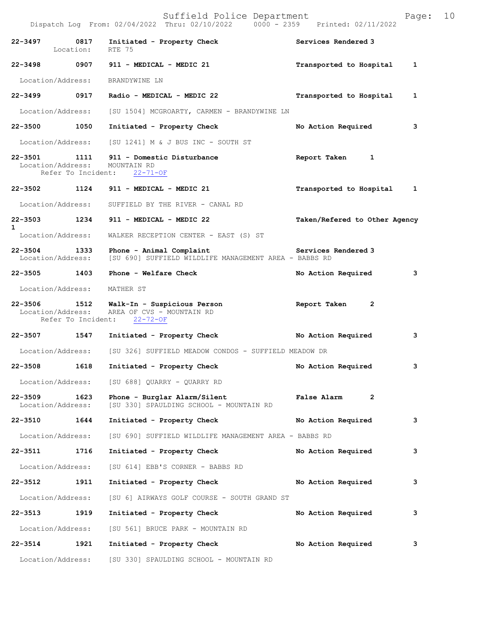|              |                                   | Dispatch Log From: 02/04/2022 Thru: 02/10/2022                                                       | $0000 - 2359$ Printed: $02/11/2022$     |
|--------------|-----------------------------------|------------------------------------------------------------------------------------------------------|-----------------------------------------|
|              | 22-3497 0817<br>Location:         | Initiated - Property Check<br>RTE 75                                                                 | Services Rendered 3                     |
|              |                                   | 22-3498 0907 911 - MEDICAL - MEDIC 21                                                                | Transported to Hospital<br>$\mathbf{1}$ |
|              | Location/Address:                 | BRANDYWINE LN                                                                                        |                                         |
|              |                                   | 22-3499 0917 Radio - MEDICAL - MEDIC 22                                                              | Transported to Hospital<br>1            |
|              | Location/Address:                 | [SU 1504] MCGROARTY, CARMEN - BRANDYWINE LN                                                          |                                         |
|              | 22-3500 1050                      | Initiated - Property Check                                                                           | No Action Required<br>3                 |
|              |                                   | Location/Address: [SU 1241] M & J BUS INC - SOUTH ST                                                 |                                         |
|              | 22-3501 1111<br>Location/Address: | 911 - Domestic Disturbance<br>MOUNTAIN RD<br>Refer To Incident: 22-71-OF                             | Report Taken 1                          |
|              |                                   | 22-3502 1124 911 - MEDICAL - MEDIC 21                                                                | Transported to Hospital 1               |
|              | Location/Address:                 | SUFFIELD BY THE RIVER - CANAL RD                                                                     |                                         |
|              |                                   | 22-3503 1234 911 - MEDICAL - MEDIC 22                                                                | Taken/Refered to Other Agency           |
| $\mathbf{1}$ | Location/Address:                 | WALKER RECEPTION CENTER - EAST (S) ST                                                                |                                         |
|              | 22-3504 1333<br>Location/Address: | Phone - Animal Complaint<br>[SU 690] SUFFIELD WILDLIFE MANAGEMENT AREA - BABBS RD                    | Services Rendered 3                     |
|              | 22-3505 1403                      | Phone - Welfare Check                                                                                | No Action Required<br>3                 |
|              | Location/Address: MATHER ST       |                                                                                                      |                                         |
|              | Location/Address:                 | 22-3506 1512 Walk-In - Suspicious Person<br>AREA OF CVS - MOUNTAIN RD<br>Refer To Incident: 22-72-OF | Report Taken<br>2                       |
|              | 22-3507 1547                      | Initiated - Property Check                                                                           | No Action Required<br>3                 |
|              | Location/Address:                 | [SU 326] SUFFIELD MEADOW CONDOS - SUFFIELD MEADOW DR                                                 |                                         |
| $22 - 3508$  | 1618                              | Initiated - Property Check                                                                           | No Action Required<br>3                 |
|              |                                   | Location/Address: [SU 688] QUARRY - QUARRY RD                                                        |                                         |
| 22-3509      | 1623<br>Location/Address:         | Phone - Burglar Alarm/Silent<br>[SU 330] SPAULDING SCHOOL - MOUNTAIN RD                              | $\overline{2}$<br>False Alarm           |
|              | 22-3510 1644                      | Initiated - Property Check                                                                           | No Action Required<br>3                 |
|              | Location/Address:                 | [SU 690] SUFFIELD WILDLIFE MANAGEMENT AREA - BABBS RD                                                |                                         |
|              | 22-3511 1716                      | Initiated - Property Check                                                                           | No Action Required<br>3                 |
|              | Location/Address:                 | [SU 614] EBB'S CORNER - BABBS RD                                                                     |                                         |
| 22-3512      | 1911                              | Initiated - Property Check                                                                           | No Action Required<br>3                 |
|              | Location/Address:                 | [SU 6] AIRWAYS GOLF COURSE - SOUTH GRAND ST                                                          |                                         |
|              | 22-3513 1919                      | Initiated - Property Check                                                                           | No Action Required<br>3                 |
|              | Location/Address:                 | [SU 561] BRUCE PARK - MOUNTAIN RD                                                                    |                                         |
|              | 22-3514 1921                      | Initiated - Property Check                                                                           | 3<br>No Action Required                 |
|              | Location/Address:                 | [SU 330] SPAULDING SCHOOL - MOUNTAIN RD                                                              |                                         |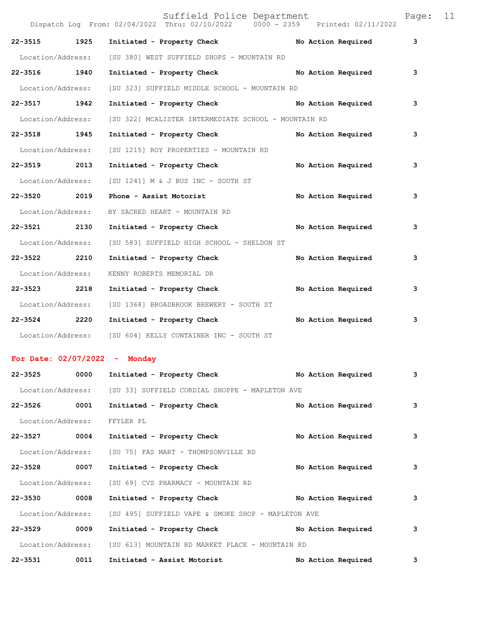|                   |      | Dispatch Log From: 02/04/2022 Thru: 02/10/2022 0000 - 2359 Printed: 02/11/2022 | Suffield Police Department |  |                    | Page: | 11 |
|-------------------|------|--------------------------------------------------------------------------------|----------------------------|--|--------------------|-------|----|
| 22-3515 1925      |      | Initiated - Property Check                                                     |                            |  | No Action Required | 3     |    |
| Location/Address: |      | [SU 380] WEST SUFFIELD SHOPS - MOUNTAIN RD                                     |                            |  |                    |       |    |
| 22-3516 1940      |      | Initiated - Property Check                                                     |                            |  | No Action Required | 3     |    |
| Location/Address: |      | [SU 323] SUFFIELD MIDDLE SCHOOL - MOUNTAIN RD                                  |                            |  |                    |       |    |
| 22-3517 1942      |      | Initiated - Property Check No Action Required                                  |                            |  |                    | 3     |    |
| Location/Address: |      | [SU 322] MCALISTER INTERMEDIATE SCHOOL - MOUNTAIN RD                           |                            |  |                    |       |    |
| 22-3518 1945      |      | Initiated - Property Check                                                     |                            |  | No Action Required | 3     |    |
| Location/Address: |      | [SU 1215] ROY PROPERTIES - MOUNTAIN RD                                         |                            |  |                    |       |    |
| 22-3519 2013      |      | Initiated - Property Check                                                     |                            |  | No Action Required | 3     |    |
| Location/Address: |      | [SU 1241] M & J BUS INC - SOUTH ST                                             |                            |  |                    |       |    |
| 22-3520 2019      |      | Phone - Assist Motorist                                                        |                            |  | No Action Required | 3     |    |
| Location/Address: |      | BY SACRED HEART - MOUNTAIN RD                                                  |                            |  |                    |       |    |
| 22-3521 2130      |      | Initiated - Property Check                                                     |                            |  | No Action Required | 3     |    |
| Location/Address: |      | [SU 583] SUFFIELD HIGH SCHOOL - SHELDON ST                                     |                            |  |                    |       |    |
| $22 - 3522$       | 2210 | Initiated - Property Check                                                     |                            |  | No Action Required | 3     |    |
| Location/Address: |      | KENNY ROBERTS MEMORIAL DR                                                      |                            |  |                    |       |    |
| 22-3523 2218      |      | Initiated - Property Check                                                     |                            |  | No Action Required | 3     |    |
| Location/Address: |      | [SU 1368] BROADBROOK BREWERY - SOUTH ST                                        |                            |  |                    |       |    |
| $22 - 3524$       | 2220 | Initiated - Property Check                                                     |                            |  | No Action Required | 3     |    |
| Location/Address: |      | [SU 604] KELLY CONTAINER INC - SOUTH ST                                        |                            |  |                    |       |    |

## **For Date: 02/07/2022 - Monday**

| $22 - 3525$       | 0000 | Initiated - Property Check                         |  | No Action Required | 3 |
|-------------------|------|----------------------------------------------------|--|--------------------|---|
| Location/Address: |      | [SU 33] SUFFIELD CORDIAL SHOPPE - MAPLETON AVE     |  |                    |   |
| $22 - 3526$       | 0001 | Initiated - Property Check                         |  | No Action Required | 3 |
| Location/Address: |      | FFYLER PL                                          |  |                    |   |
| $22 - 3527$       | 0004 | Initiated - Property Check                         |  | No Action Required | 3 |
| Location/Address: |      | [SU 75] FAS MART - THOMPSONVILLE RD                |  |                    |   |
| $22 - 3528$       | 0007 | Initiated - Property Check                         |  | No Action Required | 3 |
| Location/Address: |      | [SU 69] CVS PHARMACY - MOUNTAIN RD                 |  |                    |   |
| $22 - 3530$       | 0008 | Initiated - Property Check                         |  | No Action Required | 3 |
| Location/Address: |      | [SU 495] SUFFIELD VAPE & SMOKE SHOP - MAPLETON AVE |  |                    |   |
| $22 - 3529$       | 0009 | Initiated - Property Check                         |  | No Action Required | 3 |
| Location/Address: |      | [SU 613] MOUNTAIN RD MARKET PLACE - MOUNTAIN RD    |  |                    |   |
| $22 - 3531$       | 0011 | Initiated - Assist Motorist                        |  | No Action Required | 3 |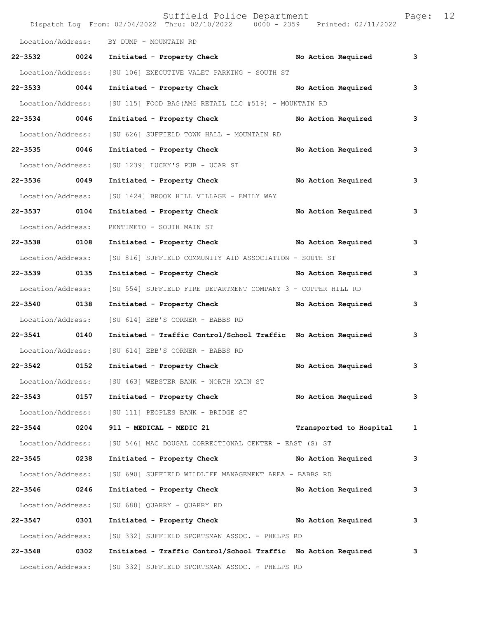|                   |      | Suffield Police Department<br>Dispatch Log From: $02/04/2022$ Thru: $02/10/2022$ 0000 - 2359 Printed: 02/11/2022 |                         | Page: | $12 \overline{ }$ |
|-------------------|------|------------------------------------------------------------------------------------------------------------------|-------------------------|-------|-------------------|
|                   |      | Location/Address: BY DUMP - MOUNTAIN RD                                                                          |                         |       |                   |
| 22-3532 0024      |      | Initiated - Property Check No Action Required                                                                    |                         | 3     |                   |
| Location/Address: |      | [SU 106] EXECUTIVE VALET PARKING - SOUTH ST                                                                      |                         |       |                   |
| 22-3533 0044      |      | Initiated - Property Check No Action Required                                                                    |                         | 3     |                   |
| Location/Address: |      | [SU 115] FOOD BAG(AMG RETAIL LLC #519) - MOUNTAIN RD                                                             |                         |       |                   |
| 22-3534 0046      |      | Initiated - Property Check No Action Required                                                                    |                         | 3     |                   |
| Location/Address: |      | [SU 626] SUFFIELD TOWN HALL - MOUNTAIN RD                                                                        |                         |       |                   |
| 22-3535 0046      |      | Initiated - Property Check No Action Required                                                                    |                         | 3     |                   |
| Location/Address: |      | [SU 1239] LUCKY'S PUB - UCAR ST                                                                                  |                         |       |                   |
| 22-3536 0049      |      | Initiated - Property Check No Action Required                                                                    |                         | 3     |                   |
| Location/Address: |      | [SU 1424] BROOK HILL VILLAGE - EMILY WAY                                                                         |                         |       |                   |
| 22-3537 0104      |      | Initiated - Property Check No Action Required                                                                    |                         | 3     |                   |
| Location/Address: |      | PENTIMETO - SOUTH MAIN ST                                                                                        |                         |       |                   |
| 22-3538 0108      |      | Initiated - Property Check No Action Required                                                                    |                         | 3     |                   |
| Location/Address: |      | [SU 816] SUFFIELD COMMUNITY AID ASSOCIATION - SOUTH ST                                                           |                         |       |                   |
| 22-3539 0135      |      | Initiated - Property Check No Action Required                                                                    |                         | 3     |                   |
| Location/Address: |      | [SU 554] SUFFIELD FIRE DEPARTMENT COMPANY 3 - COPPER HILL RD                                                     |                         |       |                   |
| 22-3540 0138      |      | Initiated - Property Check No Action Required                                                                    |                         | 3     |                   |
| Location/Address: |      | [SU 614] EBB'S CORNER - BABBS RD                                                                                 |                         |       |                   |
| 22-3541 0140      |      | Initiated - Traffic Control/School Traffic No Action Required                                                    |                         | 3     |                   |
|                   |      | Location/Address: [SU 614] EBB'S CORNER - BABBS RD                                                               |                         |       |                   |
| 22-3542           | 0152 | Initiated - Property Check                                                                                       | No Action Required      | 3     |                   |
|                   |      | Location/Address: [SU 463] WEBSTER BANK - NORTH MAIN ST                                                          |                         |       |                   |
| 22-3543 0157      |      | Initiated - Property Check No Action Required                                                                    |                         | 3     |                   |
| Location/Address: |      | [SU 111] PEOPLES BANK - BRIDGE ST                                                                                |                         |       |                   |
| 22-3544 0204      |      | 911 - MEDICAL - MEDIC 21                                                                                         | Transported to Hospital | 1     |                   |
| Location/Address: |      | [SU 546] MAC DOUGAL CORRECTIONAL CENTER - EAST (S) ST                                                            |                         |       |                   |
| 22-3545 0238      |      | Initiated - Property Check No Action Required                                                                    |                         | 3     |                   |
| Location/Address: |      | [SU 690] SUFFIELD WILDLIFE MANAGEMENT AREA - BABBS RD                                                            |                         |       |                   |
| 22-3546 0246      |      | Initiated - Property Check No Action Required                                                                    |                         | 3     |                   |
| Location/Address: |      | [SU 688] QUARRY - QUARRY RD                                                                                      |                         |       |                   |
| 22-3547 0301      |      | Initiated - Property Check No Action Required                                                                    |                         | 3     |                   |
| Location/Address: |      | [SU 332] SUFFIELD SPORTSMAN ASSOC. - PHELPS RD                                                                   |                         |       |                   |
| 22-3548 0302      |      | Initiated - Traffic Control/School Traffic No Action Required                                                    |                         | 3     |                   |
|                   |      | Location/Address: [SU 332] SUFFIELD SPORTSMAN ASSOC. - PHELPS RD                                                 |                         |       |                   |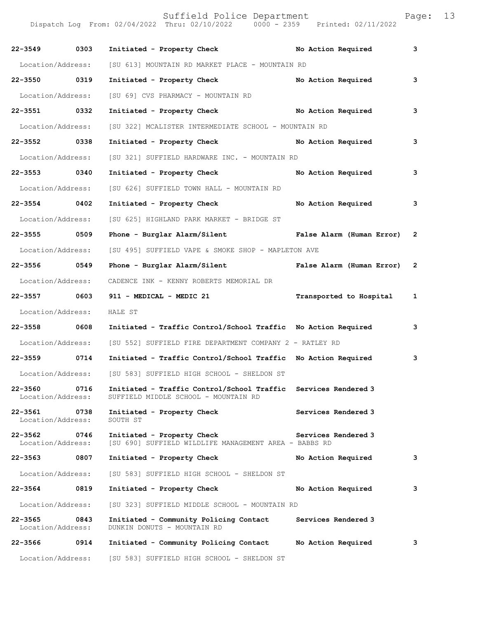Dispatch Log From: 02/04/2022 Thru: 02/10/2022 0000 - 2359 Printed: 02/11/2022 **22-3549 0303 Initiated - Property Check No Action Required 3** Location/Address: [SU 613] MOUNTAIN RD MARKET PLACE - MOUNTAIN RD **22-3550 0319 Initiated - Property Check No Action Required 3** Location/Address: [SU 69] CVS PHARMACY - MOUNTAIN RD **22-3551 0332 Initiated - Property Check No Action Required 3** Location/Address: [SU 322] MCALISTER INTERMEDIATE SCHOOL - MOUNTAIN RD **22-3552 0338 Initiated - Property Check No Action Required 3** Location/Address: [SU 321] SUFFIELD HARDWARE INC. - MOUNTAIN RD **22-3553 0340 Initiated - Property Check No Action Required 3** Location/Address: [SU 626] SUFFIELD TOWN HALL - MOUNTAIN RD **22-3554 0402 Initiated - Property Check No Action Required 3** Location/Address: [SU 625] HIGHLAND PARK MARKET - BRIDGE ST **22-3555 0509 Phone - Burglar Alarm/Silent False Alarm (Human Error) 2** Location/Address: [SU 495] SUFFIELD VAPE & SMOKE SHOP - MAPLETON AVE **22-3556 0549 Phone - Burglar Alarm/Silent False Alarm (Human Error) 2** Location/Address: CADENCE INK - KENNY ROBERTS MEMORIAL DR **22-3557 0603 911 - MEDICAL - MEDIC 21 Transported to Hospital 1** Location/Address: HALE ST **22-3558 0608 Initiated - Traffic Control/School Traffic No Action Required 3** Location/Address: [SU 552] SUFFIELD FIRE DEPARTMENT COMPANY 2 - RATLEY RD **22-3559 0714 Initiated - Traffic Control/School Traffic No Action Required 3** Location/Address: [SU 583] SUFFIELD HIGH SCHOOL - SHELDON ST **22-3560 0716 Initiated - Traffic Control/School Traffic Services Rendered 3**  Location/Address: SUFFIELD MIDDLE SCHOOL - MOUNTAIN RD **22-3561** 0738 Initiated - Property Check Services Rendered 3<br>
Location/Address: SOUTH ST Location/Address: **22-3562 0746 Initiated - Property Check Services Rendered 3**  [SU 690] SUFFIELD WILDLIFE MANAGEMENT AREA - BABBS RD **22-3563 0807 Initiated - Property Check No Action Required 3** Location/Address: [SU 583] SUFFIELD HIGH SCHOOL - SHELDON ST **22-3564 0819 Initiated - Property Check No Action Required 3** Location/Address: [SU 323] SUFFIELD MIDDLE SCHOOL - MOUNTAIN RD **22-3565 0843 Initiated - Community Policing Contact Services Rendered 3**  DUNKIN DONUTS - MOUNTAIN RD **22-3566 0914 Initiated - Community Policing Contact No Action Required 3**

Location/Address: [SU 583] SUFFIELD HIGH SCHOOL - SHELDON ST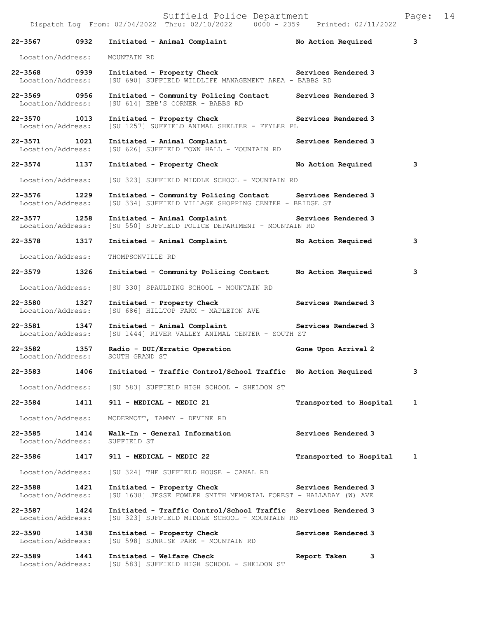| 22-3567 0932                          |      | Initiated - Animal Complaint Mo Action Required                                                                     |                         | 3            |
|---------------------------------------|------|---------------------------------------------------------------------------------------------------------------------|-------------------------|--------------|
| Location/Address:                     |      | MOUNTAIN RD                                                                                                         |                         |              |
| 22-3568 0939<br>Location/Address:     |      | Initiated - Property Check Services Rendered 3<br>[SU 690] SUFFIELD WILDLIFE MANAGEMENT AREA - BABBS RD             |                         |              |
| 22-3569 0956<br>Location/Address:     |      | Initiated - Community Policing Contact<br>[SU 614] EBB'S CORNER - BABBS RD                                          | Services Rendered 3     |              |
| 22-3570 1013<br>Location/Address:     |      | Initiated - Property Check<br>[SU 1257] SUFFIELD ANIMAL SHELTER - FFYLER PL                                         | Services Rendered 3     |              |
| 22-3571 1021<br>Location/Address:     |      | Initiated - Animal Complaint<br>[SU 626] SUFFIELD TOWN HALL - MOUNTAIN RD                                           | Services Rendered 3     |              |
| 22-3574 1137                          |      | Initiated - Property Check                                                                                          | No Action Required      | 3            |
| Location/Address:                     |      | [SU 323] SUFFIELD MIDDLE SCHOOL - MOUNTAIN RD                                                                       |                         |              |
| $22 - 3576$ 1229<br>Location/Address: |      | Initiated - Community Policing Contact Services Rendered 3<br>[SU 334] SUFFIELD VILLAGE SHOPPING CENTER - BRIDGE ST |                         |              |
| 22-3577 1258<br>Location/Address:     |      | Initiated - Animal Complaint The Services Rendered 3<br>[SU 550] SUFFIELD POLICE DEPARTMENT - MOUNTAIN RD           |                         |              |
| 22-3578 1317                          |      | Initiated - Animal Complaint                                                                                        | No Action Required      | 3            |
| Location/Address:                     |      | THOMPSONVILLE RD                                                                                                    |                         |              |
| 22-3579 1326                          |      | Initiated - Community Policing Contact No Action Required                                                           |                         | 3            |
| Location/Address:                     |      | [SU 330] SPAULDING SCHOOL - MOUNTAIN RD                                                                             |                         |              |
| 22-3580 1327<br>Location/Address:     |      | Initiated - Property Check<br>[SU 686] HILLTOP FARM - MAPLETON AVE                                                  | Services Rendered 3     |              |
| 22-3581<br>Location/Address:          | 1347 | Initiated - Animal Complaint<br>[SU 1444] RIVER VALLEY ANIMAL CENTER - SOUTH ST                                     | Services Rendered 3     |              |
| 22-3582 1357<br>Location/Address:     |      | Radio - DUI/Erratic Operation<br>SOUTH GRAND ST                                                                     | Gone Upon Arrival 2     |              |
| 22-3583 1406                          |      | Initiated - Traffic Control/School Traffic No Action Required                                                       |                         | 3            |
|                                       |      | Location/Address: [SU 583] SUFFIELD HIGH SCHOOL - SHELDON ST                                                        |                         |              |
| 22-3584 1411                          |      | 911 - MEDICAL - MEDIC 21                                                                                            | Transported to Hospital | $\mathbf{1}$ |
| Location/Address:                     |      | MCDERMOTT, TAMMY - DEVINE RD                                                                                        |                         |              |
| 22-3585<br>Location/Address:          | 1414 | Walk-In - General Information<br>SUFFIELD ST                                                                        | Services Rendered 3     |              |
| 22-3586                               | 1417 | 911 - MEDICAL - MEDIC 22                                                                                            | Transported to Hospital | 1            |
| Location/Address:                     |      | [SU 324] THE SUFFIELD HOUSE - CANAL RD                                                                              |                         |              |
| 22-3588 1421<br>Location/Address:     |      | Initiated - Property Check<br>[SU 1638] JESSE FOWLER SMITH MEMORIAL FOREST - HALLADAY (W) AVE                       | Services Rendered 3     |              |
| 22-3587 1424<br>Location/Address:     |      | Initiated - Traffic Control/School Traffic Services Rendered 3<br>[SU 323] SUFFIELD MIDDLE SCHOOL - MOUNTAIN RD     |                         |              |
| 22-3590 1438<br>Location/Address:     |      | Initiated - Property Check<br>[SU 598] SUNRISE PARK - MOUNTAIN RD                                                   | Services Rendered 3     |              |
| 22-3589<br>Location/Address:          | 1441 | Initiated - Welfare Check<br>[SU 583] SUFFIELD HIGH SCHOOL - SHELDON ST                                             | Report Taken<br>3       |              |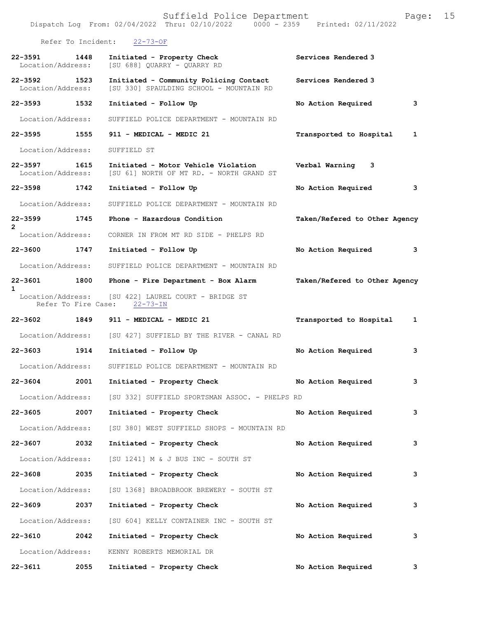|                                   |                    | Dispatch Log From: 02/04/2022 Thru: 02/10/2022 0000 - 2359 Printed: 02/11/2022      |                               |              |
|-----------------------------------|--------------------|-------------------------------------------------------------------------------------|-------------------------------|--------------|
|                                   | Refer To Incident: | $22 - 73 - OF$                                                                      |                               |              |
| 22-3591<br>Location/Address:      | 1448               | Initiated - Property Check<br>[SU 688] QUARRY - QUARRY RD                           | Services Rendered 3           |              |
| 22-3592 1523<br>Location/Address: |                    | Initiated - Community Policing Contact<br>[SU 330] SPAULDING SCHOOL - MOUNTAIN RD   | Services Rendered 3           |              |
| 22-3593 1532                      |                    | Initiated - Follow Up                                                               | No Action Required            | 3            |
| Location/Address:                 |                    | SUFFIELD POLICE DEPARTMENT - MOUNTAIN RD                                            |                               |              |
| 22-3595 1555                      |                    | 911 - MEDICAL - MEDIC 21                                                            | Transported to Hospital       | 1            |
| Location/Address:                 |                    | SUFFIELD ST                                                                         |                               |              |
| $22 - 3597$<br>Location/Address:  | 1615               | Initiated - Motor Vehicle Violation<br>[SU 61] NORTH OF MT RD. - NORTH GRAND ST     | Verbal Warning<br>3           |              |
| 22-3598 1742                      |                    | Initiated - Follow Up                                                               | No Action Required            | 3            |
| Location/Address:                 |                    | SUFFIELD POLICE DEPARTMENT - MOUNTAIN RD                                            |                               |              |
| 22-3599<br>$\mathbf{2}^{\circ}$   | 1745               | Phone - Hazardous Condition                                                         | Taken/Refered to Other Agency |              |
| Location/Address:                 |                    | CORNER IN FROM MT RD SIDE - PHELPS RD                                               |                               |              |
| 22-3600 1747                      |                    | Initiated - Follow Up                                                               | No Action Required            | 3            |
| Location/Address:                 |                    | SUFFIELD POLICE DEPARTMENT - MOUNTAIN RD                                            |                               |              |
| 22-3601<br>$\mathbf{1}$           | 1800               | Phone - Fire Department - Box Alarm                                                 | Taken/Refered to Other Agency |              |
|                                   |                    | Location/Address: [SU 422] LAUREL COURT - BRIDGE ST<br>Refer To Fire Case: 22-73-IN |                               |              |
| 22-3602 1849                      |                    | 911 - MEDICAL - MEDIC 21                                                            | Transported to Hospital       | $\mathbf{1}$ |
|                                   |                    | Location/Address: [SU 427] SUFFIELD BY THE RIVER - CANAL RD                         |                               |              |
| $22 - 3603$                       | 1914               | Initiated - Follow Up                                                               | No Action Required            | 3            |
| Location/Address:                 |                    | SUFFIELD POLICE DEPARTMENT - MOUNTAIN RD                                            |                               |              |
| 22-3604                           | 2001               | Initiated - Property Check                                                          | No Action Required            | 3            |
| Location/Address:                 |                    | [SU 332] SUFFIELD SPORTSMAN ASSOC. - PHELPS RD                                      |                               |              |
| $22 - 3605$                       | 2007               | Initiated - Property Check                                                          | No Action Required            | 3            |
| Location/Address:                 |                    | [SU 380] WEST SUFFIELD SHOPS - MOUNTAIN RD                                          |                               |              |
| $22 - 3607$                       | 2032               | Initiated - Property Check                                                          | No Action Required            | 3            |
| Location/Address:                 |                    | [SU 1241] M & J BUS INC - SOUTH ST                                                  |                               |              |
| $22 - 3608$                       | 2035               | Initiated - Property Check                                                          | No Action Required            | 3            |
| Location/Address:                 |                    | [SU 1368] BROADBROOK BREWERY - SOUTH ST                                             |                               |              |
| 22-3609                           | 2037               | Initiated - Property Check                                                          | No Action Required            | 3            |
| Location/Address:                 |                    | [SU 604] KELLY CONTAINER INC - SOUTH ST                                             |                               |              |
| 22-3610                           | 2042               | Initiated - Property Check                                                          | No Action Required            | 3            |
| Location/Address:                 |                    | KENNY ROBERTS MEMORIAL DR                                                           |                               |              |
| 22-3611                           | 2055               | Initiated - Property Check                                                          | No Action Required            | 3            |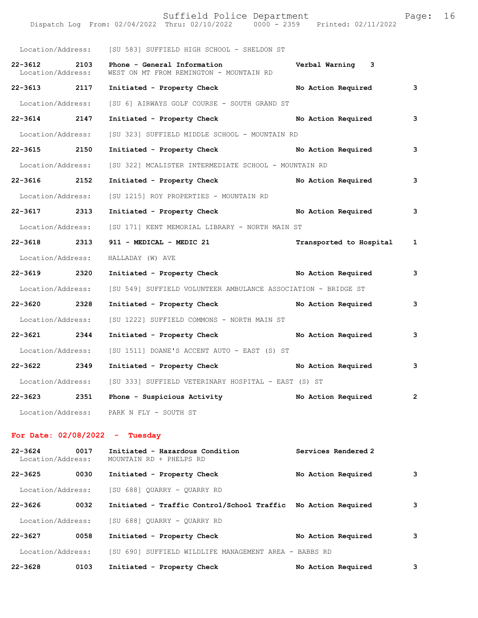|                                  |      | Dispatch Log From: 02/04/2022 Thru: 02/10/2022 0000 - 2359 Printed: 02/11/2022 |                           |                         |
|----------------------------------|------|--------------------------------------------------------------------------------|---------------------------|-------------------------|
|                                  |      | Location/Address: [SU 583] SUFFIELD HIGH SCHOOL - SHELDON ST                   |                           |                         |
| $22 - 3612$<br>Location/Address: | 2103 | Phone - General Information<br>WEST ON MT FROM REMINGTON - MOUNTAIN RD         | Verbal Warning 3          |                         |
| 22-3613 2117                     |      | Initiated - Property Check No Action Required                                  |                           | $\overline{\mathbf{3}}$ |
| Location/Address:                |      | [SU 6] AIRWAYS GOLF COURSE - SOUTH GRAND ST                                    |                           |                         |
| 22-3614 2147                     |      | Initiated - Property Check                                                     | No Action Required        | $\mathbf{3}$            |
| Location/Address:                |      | [SU 323] SUFFIELD MIDDLE SCHOOL - MOUNTAIN RD                                  |                           |                         |
| 22-3615 2150                     |      | Initiated - Property Check No Action Required                                  |                           | $\mathbf{3}$            |
| Location/Address:                |      | [SU 322] MCALISTER INTERMEDIATE SCHOOL - MOUNTAIN RD                           |                           |                         |
| 22-3616 2152                     |      | Initiated - Property Check No Action Required                                  |                           | 3                       |
| Location/Address:                |      | [SU 1215] ROY PROPERTIES - MOUNTAIN RD                                         |                           |                         |
| 22-3617 2313                     |      | Initiated - Property Check No Action Required 3                                |                           |                         |
|                                  |      | Location/Address: [SU 171] KENT MEMORIAL LIBRARY - NORTH MAIN ST               |                           |                         |
| 22-3618 2313                     |      | 911 - MEDICAL - MEDIC 21                                                       | Transported to Hospital 1 |                         |
| Location/Address:                |      | HALLADAY (W) AVE                                                               |                           |                         |
| 22-3619 2320                     |      | Initiated - Property Check No Action Required                                  |                           | $\overline{\mathbf{3}}$ |
| Location/Address:                |      | [SU 549] SUFFIELD VOLUNTEER AMBULANCE ASSOCIATION - BRIDGE ST                  |                           |                         |
| 22-3620 2328                     |      | Initiated - Property Check No Action Required                                  |                           | 3                       |
| Location/Address:                |      | [SU 1222] SUFFIELD COMMONS - NORTH MAIN ST                                     |                           |                         |
| 22-3621 2344                     |      | Initiated - Property Check                                                     | No Action Required        | $\mathbf{3}$            |
|                                  |      | Location/Address: [SU 1511] DOANE'S ACCENT AUTO - EAST (S) ST                  |                           |                         |
| 22-3622 2349                     |      | Initiated - Property Check                                                     | No Action Required 3      |                         |
| Location/Address:                |      | [SU 333] SUFFIELD VETERINARY HOSPITAL - EAST (S) ST                            |                           |                         |
| 22-3623                          | 2351 | Phone - Suspicious Activity                                                    | No Action Required        | 2                       |
| Location/Address:                |      | PARK N FLY - SOUTH ST                                                          |                           |                         |
| For Date: $02/08/2022 -$ Tuesday |      |                                                                                |                           |                         |
| $22 - 3624$<br>Location/Address: | 0017 | Initiated - Hazardous Condition<br>MOUNTAIN RD + PHELPS RD                     | Services Rendered 2       |                         |
| $22 - 3625$                      | 0030 | Initiated - Property Check                                                     | No Action Required        | 3                       |

Location/Address: [SU 688] QUARRY - QUARRY RD

**22-3626 0032 Initiated - Traffic Control/School Traffic No Action Required 3** Location/Address: [SU 688] QUARRY - QUARRY RD **22-3627 0058 Initiated - Property Check No Action Required 3** Location/Address: [SU 690] SUFFIELD WILDLIFE MANAGEMENT AREA - BABBS RD **22-3628 0103 Initiated - Property Check No Action Required 3**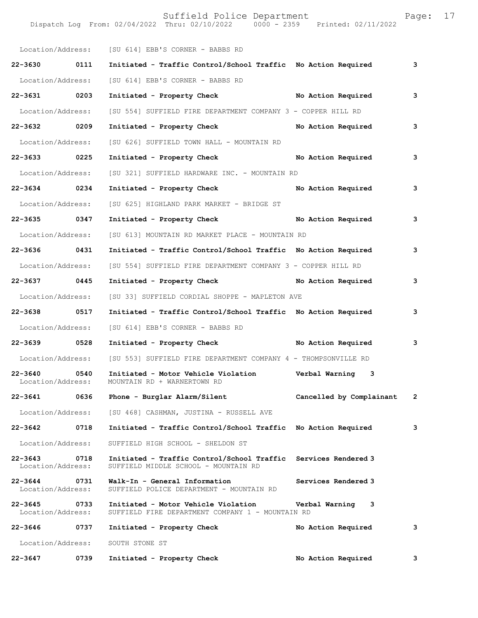|                                   |      | Location/Address: [SU 614] EBB'S CORNER - BABBS RD                                        |                          |              |
|-----------------------------------|------|-------------------------------------------------------------------------------------------|--------------------------|--------------|
| 22-3630 0111                      |      | Initiated - Traffic Control/School Traffic No Action Required                             |                          | 3            |
| Location/Address:                 |      | [SU 614] EBB'S CORNER - BABBS RD                                                          |                          |              |
| 22-3631 0203                      |      | Initiated - Property Check No Action Required                                             |                          | 3            |
| Location/Address:                 |      | [SU 554] SUFFIELD FIRE DEPARTMENT COMPANY 3 - COPPER HILL RD                              |                          |              |
| 22-3632 0209                      |      | Initiated - Property Check                                                                | No Action Required       | 3            |
| Location/Address:                 |      | [SU 626] SUFFIELD TOWN HALL - MOUNTAIN RD                                                 |                          |              |
| 22-3633 0225                      |      | Initiated - Property Check                                                                | No Action Required       | 3            |
| Location/Address:                 |      | [SU 321] SUFFIELD HARDWARE INC. - MOUNTAIN RD                                             |                          |              |
| 22-3634 0234                      |      | Initiated - Property Check No Action Required                                             |                          | 3            |
| Location/Address:                 |      | [SU 625] HIGHLAND PARK MARKET - BRIDGE ST                                                 |                          |              |
| 22-3635 0347                      |      | Initiated - Property Check                                                                | No Action Required       | 3            |
| Location/Address:                 |      | [SU 613] MOUNTAIN RD MARKET PLACE - MOUNTAIN RD                                           |                          |              |
| 22-3636 0431                      |      | Initiated - Traffic Control/School Traffic No Action Required                             |                          | 3            |
| Location/Address:                 |      | [SU 554] SUFFIELD FIRE DEPARTMENT COMPANY 3 - COPPER HILL RD                              |                          |              |
| 22-3637 0445                      |      | Initiated - Property Check No Action Required                                             |                          | 3            |
| Location/Address:                 |      | [SU 33] SUFFIELD CORDIAL SHOPPE - MAPLETON AVE                                            |                          |              |
| 22-3638 0517                      |      | Initiated - Traffic Control/School Traffic No Action Required                             |                          | 3            |
| Location/Address:                 |      | [SU 614] EBB'S CORNER - BABBS RD                                                          |                          |              |
| 22-3639 0528                      |      | Initiated - Property Check No Action Required                                             |                          | 3            |
| Location/Address:                 |      | [SU 553] SUFFIELD FIRE DEPARTMENT COMPANY 4 - THOMPSONVILLE RD                            |                          |              |
| $22 - 3640$<br>Location/Address:  | 0540 | Initiated - Motor Vehicle Violation - - - - Verbal Warning<br>MOUNTAIN RD + WARNERTOWN RD | 3                        |              |
| 22-3641                           | 0636 | Phone - Burglar Alarm/Silent                                                              | Cancelled by Complainant | $\mathbf{2}$ |
| Location/Address:                 |      | [SU 468] CASHMAN, JUSTINA - RUSSELL AVE                                                   |                          |              |
| 22-3642                           | 0718 | Initiated - Traffic Control/School Traffic                                                | No Action Required       | 3            |
| Location/Address:                 |      | SUFFIELD HIGH SCHOOL - SHELDON ST                                                         |                          |              |
| $22 - 3643$<br>Location/Address:  | 0718 | Initiated - Traffic Control/School Traffic<br>SUFFIELD MIDDLE SCHOOL - MOUNTAIN RD        | Services Rendered 3      |              |
| 22-3644<br>Location/Address:      | 0731 | Walk-In - General Information<br>SUFFIELD POLICE DEPARTMENT - MOUNTAIN RD                 | Services Rendered 3      |              |
| 22-3645 0733<br>Location/Address: |      | Initiated - Motor Vehicle Violation<br>SUFFIELD FIRE DEPARTMENT COMPANY 1 - MOUNTAIN RD   | 3<br>Verbal Warning      |              |
| 22-3646                           | 0737 | Initiated - Property Check                                                                | No Action Required       | 3            |
| Location/Address:                 |      | SOUTH STONE ST                                                                            |                          |              |
| 22-3647                           | 0739 | Initiated - Property Check                                                                | No Action Required       | 3            |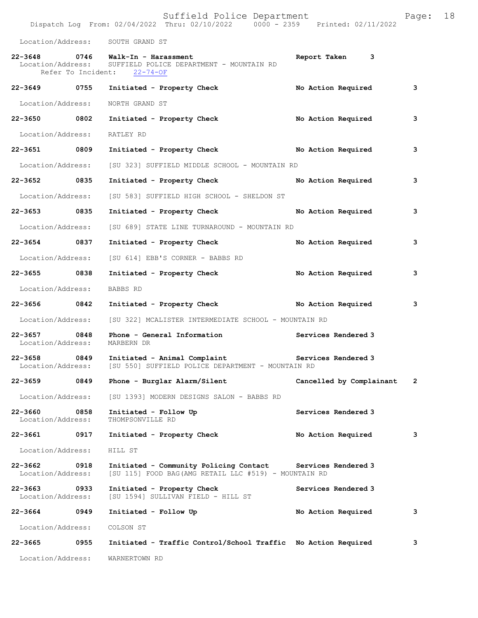|                                   |      | Suffield Police Department<br>Dispatch Log From: $02/04/2022$ Thru: $02/10/2022$ 0000 - 2359 Printed: 02/11/2022               |                          | Page: 18 |  |
|-----------------------------------|------|--------------------------------------------------------------------------------------------------------------------------------|--------------------------|----------|--|
|                                   |      | Location/Address: SOUTH GRAND ST                                                                                               |                          |          |  |
|                                   |      | 22-3648 0746 Walk-In - Harassment<br>Location/Address: SUFFIELD POLICE DEPARTMENT - MOUNTAIN RD<br>Refer To Incident: 22-74-OF | Report Taken 3           |          |  |
|                                   |      | 22-3649      0755  Initiated - Property Check           No Action Required                                                     |                          | 3        |  |
| Location/Address:                 |      | NORTH GRAND ST                                                                                                                 |                          |          |  |
|                                   |      | 22-3650 0802 Initiated - Property Check                                                                                        | No Action Required       | 3        |  |
| Location/Address: RATLEY RD       |      |                                                                                                                                |                          |          |  |
|                                   |      | 22-3651 0809 Initiated - Property Check No Action Required                                                                     |                          | 3        |  |
| Location/Address:                 |      | [SU 323] SUFFIELD MIDDLE SCHOOL - MOUNTAIN RD                                                                                  |                          |          |  |
| 22-3652 0835                      |      | Initiated - Property Check No Action Required                                                                                  |                          | 3        |  |
| Location/Address:                 |      | [SU 583] SUFFIELD HIGH SCHOOL - SHELDON ST                                                                                     |                          |          |  |
| 22-3653 0835                      |      | Initiated - Property Check No Action Required                                                                                  |                          | 3        |  |
| Location/Address:                 |      | [SU 689] STATE LINE TURNAROUND - MOUNTAIN RD                                                                                   |                          |          |  |
| 22-3654 0837                      |      | Initiated - Property Check                                                                                                     | No Action Required       | з        |  |
| Location/Address:                 |      | [SU 614] EBB'S CORNER - BABBS RD                                                                                               |                          |          |  |
| 22-3655 0838                      |      | Initiated - Property Check                                                                                                     | No Action Required       | 3        |  |
| Location/Address:                 |      | BABBS RD                                                                                                                       |                          |          |  |
|                                   |      | 22-3656 0842 Initiated - Property Check No Action Required                                                                     |                          | 3        |  |
|                                   |      | Location/Address: [SU 322] MCALISTER INTERMEDIATE SCHOOL - MOUNTAIN RD                                                         |                          |          |  |
| 22-3657 0848<br>Location/Address: |      | Phone - General Information<br>MARBERN DR                                                                                      | Services Rendered 3      |          |  |
| 22-3658 0849<br>Location/Address: |      | Initiated - Animal Complaint<br>[SU 550] SUFFIELD POLICE DEPARTMENT - MOUNTAIN RD                                              | Services Rendered 3      |          |  |
| 22-3659 0849                      |      | Phone - Burglar Alarm/Silent                                                                                                   | Cancelled by Complainant | 2        |  |
| Location/Address:                 |      | [SU 1393] MODERN DESIGNS SALON - BABBS RD                                                                                      |                          |          |  |
| 22-3660<br>Location/Address:      | 0858 | Initiated - Follow Up<br>THOMPSONVILLE RD                                                                                      | Services Rendered 3      |          |  |
| 22-3661                           | 0917 | Initiated - Property Check                                                                                                     | No Action Required       | з        |  |
| Location/Address:                 |      | HILL ST                                                                                                                        |                          |          |  |
| 22-3662<br>Location/Address:      | 0918 | Initiated - Community Policing Contact Services Rendered 3<br>[SU 115] FOOD BAG (AMG RETAIL LLC #519) - MOUNTAIN RD            |                          |          |  |
| 22-3663 0933<br>Location/Address: |      | Initiated - Property Check<br>[SU 1594] SULLIVAN FIELD - HILL ST                                                               | Services Rendered 3      |          |  |
| 22-3664 0949                      |      | Initiated - Follow Up                                                                                                          | No Action Required       | 3        |  |
| Location/Address:                 |      | COLSON ST                                                                                                                      |                          |          |  |
|                                   |      |                                                                                                                                |                          |          |  |

**22-3665 0955 Initiated - Traffic Control/School Traffic No Action Required 3** Location/Address: WARNERTOWN RD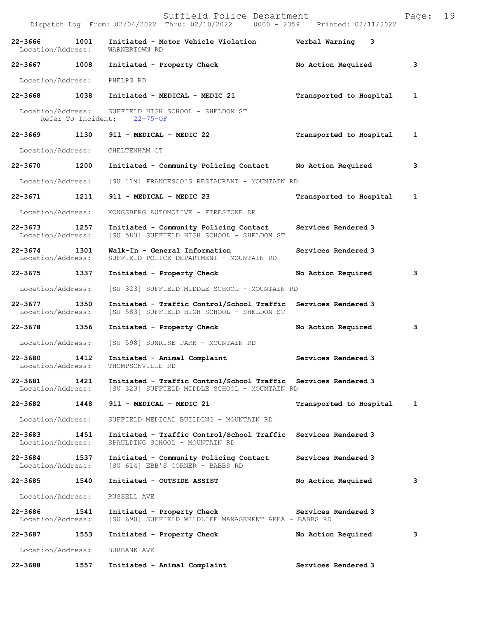|                                          |      | Suffield Police Department<br>Dispatch Log From: 02/04/2022 Thru: 02/10/2022 0000 - 2359 Printed: 02/11/2022    |                         | Page: | 19 |
|------------------------------------------|------|-----------------------------------------------------------------------------------------------------------------|-------------------------|-------|----|
| 22-3666<br>Location/Address:             | 1001 | Initiated - Motor Vehicle Violation<br>WARNERTOWN RD                                                            | Verbal Warning 3        |       |    |
| 22-3667 1008                             |      | Initiated - Property Check                                                                                      | No Action Required      | 3     |    |
| Location/Address:                        |      | PHELPS RD                                                                                                       |                         |       |    |
| 22-3668                                  | 1038 | Initiated - MEDICAL - MEDIC 21                                                                                  | Transported to Hospital | 1     |    |
| Location/Address:<br>Refer To Incident:  |      | SUFFIELD HIGH SCHOOL - SHELDON ST<br>$22 - 75 - OF$                                                             |                         |       |    |
| 22-3669                                  | 1130 | 911 - MEDICAL - MEDIC 22                                                                                        | Transported to Hospital | 1     |    |
| Location/Address:                        |      | CHELTENHAM CT                                                                                                   |                         |       |    |
| 22-3670 1200                             |      | Initiated - Community Policing Contact                                                                          | No Action Required      | 3     |    |
| Location/Address:                        |      | [SU 119] FRANCESCO'S RESTAURANT - MOUNTAIN RD                                                                   |                         |       |    |
| 22-3671 1211                             |      | 911 - MEDICAL - MEDIC 23                                                                                        | Transported to Hospital | 1     |    |
| Location/Address:                        |      | KONGSBERG AUTOMOTIVE - FIRESTONE DR                                                                             |                         |       |    |
| 22-3673 1257<br>Location/Address:        |      | Initiated - Community Policing Contact<br>[SU 583] SUFFIELD HIGH SCHOOL - SHELDON ST                            | Services Rendered 3     |       |    |
| $22 - 3674$<br>1301<br>Location/Address: |      | Walk-In - General Information<br>SUFFIELD POLICE DEPARTMENT - MOUNTAIN RD                                       | Services Rendered 3     |       |    |
| 22-3675 1337                             |      | Initiated - Property Check                                                                                      | No Action Required      | 3     |    |
| Location/Address:                        |      | [SU 323] SUFFIELD MIDDLE SCHOOL - MOUNTAIN RD                                                                   |                         |       |    |
| 22-3677<br>Location/Address:             | 1350 | Initiated - Traffic Control/School Traffic<br>[SU 583] SUFFIELD HIGH SCHOOL - SHELDON ST                        | Services Rendered 3     |       |    |
| 22-3678 1356                             |      | Initiated - Property Check                                                                                      | No Action Required      | 3     |    |
| Location/Address:                        |      | [SU 598] SUNRISE PARK - MOUNTAIN RD                                                                             |                         |       |    |
| 22-3680<br>Location/Address:             | 1412 | Initiated - Animal Complaint<br>THOMPSONVILLE RD                                                                | Services Rendered 3     |       |    |
| 22-3681<br>Location/Address:             | 1421 | Initiated - Traffic Control/School Traffic Services Rendered 3<br>[SU 323] SUFFIELD MIDDLE SCHOOL - MOUNTAIN RD |                         |       |    |
| 22-3682                                  | 1448 | 911 - MEDICAL - MEDIC 21                                                                                        | Transported to Hospital | 1     |    |
| Location/Address:                        |      | SUFFIELD MEDICAL BUILDING - MOUNTAIN RD                                                                         |                         |       |    |
| $22 - 3683$<br>Location/Address:         | 1451 | Initiated - Traffic Control/School Traffic Services Rendered 3<br>SPAULDING SCHOOL - MOUNTAIN RD                |                         |       |    |
| 22-3684<br>Location/Address:             | 1537 | Initiated - Community Policing Contact<br>[SU 614] EBB'S CORNER - BABBS RD                                      | Services Rendered 3     |       |    |
| 22-3685                                  | 1540 | Initiated - OUTSIDE ASSIST                                                                                      | No Action Required      | 3     |    |
| Location/Address:                        |      | RUSSELL AVE                                                                                                     |                         |       |    |
| 22-3686<br>Location/Address:             | 1541 | Initiated - Property Check<br>[SU 690] SUFFIELD WILDLIFE MANAGEMENT AREA - BABBS RD                             | Services Rendered 3     |       |    |
| 22-3687                                  | 1553 | Initiated - Property Check                                                                                      | No Action Required      | 3     |    |
| Location/Address:                        |      | BURBANK AVE                                                                                                     |                         |       |    |
| 22-3688                                  | 1557 | Initiated - Animal Complaint                                                                                    | Services Rendered 3     |       |    |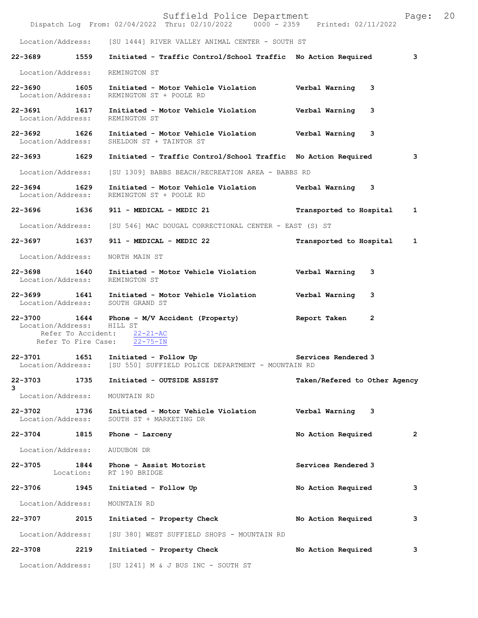|                                   |      | Suffield Police Department<br>Dispatch Log From: 02/04/2022 Thru: 02/10/2022 0000 - 2359 Printed: 02/11/2022   |                                | Page:        | 20 |
|-----------------------------------|------|----------------------------------------------------------------------------------------------------------------|--------------------------------|--------------|----|
|                                   |      | Location/Address: [SU 1444] RIVER VALLEY ANIMAL CENTER - SOUTH ST                                              |                                |              |    |
| 22-3689 1559                      |      | Initiated - Traffic Control/School Traffic No Action Required                                                  |                                | 3            |    |
| Location/Address:                 |      | REMINGTON ST                                                                                                   |                                |              |    |
| 22-3690 1605<br>Location/Address: |      | Initiated - Motor Vehicle Violation - - - - Verbal Warning<br>REMINGTON ST + POOLE RD                          | 3                              |              |    |
| 22-3691 1617<br>Location/Address: |      | Initiated - Motor Vehicle Violation burbal Warning<br>REMINGTON ST                                             | 3                              |              |    |
| 22-3692 1626                      |      | Initiated - Motor Vehicle Violation<br>Location/Address: SHELDON ST + TAINTOR ST                               | Verbal Warning 3               |              |    |
| 22-3693 1629                      |      | Initiated - Traffic Control/School Traffic No Action Required                                                  |                                | 3            |    |
| Location/Address:                 |      | [SU 1309] BABBS BEACH/RECREATION AREA - BABBS RD                                                               |                                |              |    |
| 22-3694<br>Location/Address:      | 1629 | Initiated - Motor Vehicle Violation Verbal Warning 3<br>REMINGTON ST + POOLE RD                                |                                |              |    |
| 22-3696 1636                      |      | 911 - MEDICAL - MEDIC 21                                                                                       | Transported to Hospital        | 1            |    |
|                                   |      | Location/Address: [SU 546] MAC DOUGAL CORRECTIONAL CENTER - EAST (S) ST                                        |                                |              |    |
| 22-3697 1637                      |      | 911 - MEDICAL - MEDIC 22                                                                                       | Transported to Hospital        | 1            |    |
| Location/Address:                 |      | NORTH MAIN ST                                                                                                  |                                |              |    |
|                                   |      | 22-3698 1640 Initiated - Motor Vehicle Violation Verbal Warning 3<br>Location/Address: REMINGTON ST            |                                |              |    |
|                                   |      | 22-3699 1641 Initiated - Motor Vehicle Violation<br>Location/Address: SOUTH GRAND ST                           | Verbal Warning<br>3            |              |    |
| 22-3700<br>Location/Address:      |      | 1644 Phone - M/V Accident (Property)<br>HILL ST<br>Refer To Accident: 22-21-AC<br>Refer To Fire Case: 22-75-IN | $\overline{2}$<br>Report Taken |              |    |
| 22-3701<br>Location/Address:      | 1651 | Initiated - Follow Up<br>[SU 550] SUFFIELD POLICE DEPARTMENT - MOUNTAIN RD                                     | Services Rendered 3            |              |    |
| 22-3703                           | 1735 | Initiated - OUTSIDE ASSIST                                                                                     | Taken/Refered to Other Agency  |              |    |
| 3<br>Location/Address:            |      | MOUNTAIN RD                                                                                                    |                                |              |    |
| $22 - 3702$<br>Location/Address:  | 1736 | Initiated - Motor Vehicle Violation<br>SOUTH ST + MARKETING DR                                                 | Verbal Warning 3               |              |    |
| 22-3704 1815                      |      | Phone - Larceny                                                                                                | No Action Required             | $\mathbf{2}$ |    |
| Location/Address:                 |      | AUDUBON DR                                                                                                     |                                |              |    |
| 22-3705                           | 1844 | Phone - Assist Motorist<br>Location: RT 190 BRIDGE                                                             | Services Rendered 3            |              |    |
| 22-3706 1945                      |      | Initiated - Follow Up                                                                                          | No Action Required             | з            |    |
| Location/Address:                 |      | MOUNTAIN RD                                                                                                    |                                |              |    |
| 22-3707 2015                      |      | Initiated - Property Check                                                                                     | No Action Required             | 3            |    |
| Location/Address:                 |      | [SU 380] WEST SUFFIELD SHOPS - MOUNTAIN RD                                                                     |                                |              |    |
| 22-3708                           | 2219 | Initiated - Property Check                                                                                     | No Action Required             | з            |    |
| Location/Address:                 |      | [SU 1241] M & J BUS INC - SOUTH ST                                                                             |                                |              |    |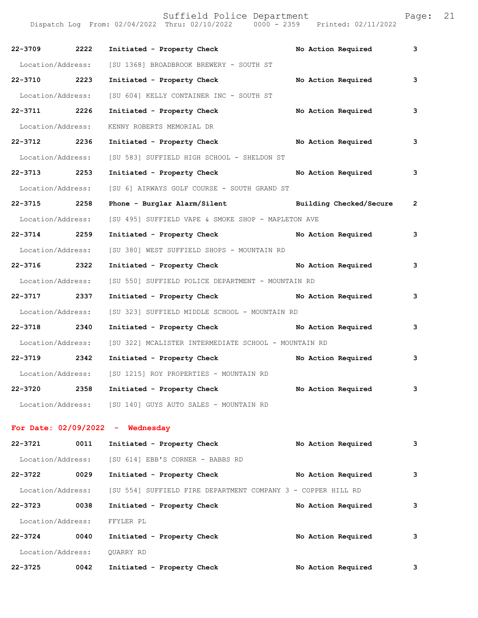| 22-3709 2222      |      | Initiated - Property Check No Action Required                        |                    | 3              |
|-------------------|------|----------------------------------------------------------------------|--------------------|----------------|
|                   |      | Location/Address: [SU 1368] BROADBROOK BREWERY - SOUTH ST            |                    |                |
| 22-3710 2223      |      | Initiated - Property Check No Action Required                        |                    | 3              |
| Location/Address: |      | [SU 604] KELLY CONTAINER INC - SOUTH ST                              |                    |                |
| 22-3711 2226      |      | Initiated - Property Check                                           | No Action Required | 3              |
| Location/Address: |      | KENNY ROBERTS MEMORIAL DR                                            |                    |                |
| 22-3712 2236      |      | Initiated - Property Check No Action Required                        |                    | 3              |
|                   |      | Location/Address: [SU 583] SUFFIELD HIGH SCHOOL - SHELDON ST         |                    |                |
| 22-3713 2253      |      | Initiated - Property Check No Action Required                        |                    | 3              |
| Location/Address: |      | [SU 6] AIRWAYS GOLF COURSE - SOUTH GRAND ST                          |                    |                |
| 22-3715 2258      |      | Phone - Burglar Alarm/Silent Management Building Checked/Secure      |                    | $\overline{2}$ |
|                   |      | Location/Address: [SU 495] SUFFIELD VAPE & SMOKE SHOP - MAPLETON AVE |                    |                |
| 22-3714 2259      |      | Initiated - Property Check No Action Required                        |                    | 3              |
| Location/Address: |      | [SU 380] WEST SUFFIELD SHOPS - MOUNTAIN RD                           |                    |                |
| 22-3716 2322      |      | Initiated - Property Check No Action Required                        |                    | 3              |
| Location/Address: |      | [SU 550] SUFFIELD POLICE DEPARTMENT - MOUNTAIN RD                    |                    |                |
| 22-3717 2337      |      | Initiated - Property Check No Action Required                        |                    | 3              |
| Location/Address: |      | [SU 323] SUFFIELD MIDDLE SCHOOL - MOUNTAIN RD                        |                    |                |
| 22-3718 2340      |      | Initiated - Property Check No Action Required                        |                    | 3              |
| Location/Address: |      | [SU 322] MCALISTER INTERMEDIATE SCHOOL - MOUNTAIN RD                 |                    |                |
| 22-3719 2342      |      | Initiated - Property Check No Action Required                        |                    | 3              |
|                   |      | Location/Address: [SU 1215] ROY PROPERTIES - MOUNTAIN RD             |                    |                |
| 22-3720           | 2358 | Initiated - Property Check                                           | No Action Required | 3              |
|                   |      | Location/Address: [SU 140] GUYS AUTO SALES - MOUNTAIN RD             |                    |                |
|                   |      |                                                                      |                    |                |
|                   |      | For Date: $02/09/2022 -$ Wednesday                                   |                    |                |
| 22-3721           | 0011 | Initiated - Property Check                                           | No Action Required | 3              |
| Location/Address: |      | [SU 614] EBB'S CORNER - BABBS RD                                     |                    |                |
| 22-3722           | 0029 | Initiated - Property Check                                           | No Action Required | 3              |
| Location/Address: |      | [SU 554] SUFFIELD FIRE DEPARTMENT COMPANY 3 - COPPER HILL RD         |                    |                |
| 22-3723           | 0038 | Initiated - Property Check                                           | No Action Required | 3              |
| Location/Address: |      | FFYLER PL                                                            |                    |                |
| $22 - 3724$       | 0040 | Initiated - Property Check                                           | No Action Required | 3              |
| Location/Address: |      | QUARRY RD                                                            |                    |                |
| 22-3725           | 0042 | Initiated - Property Check                                           | No Action Required | 3              |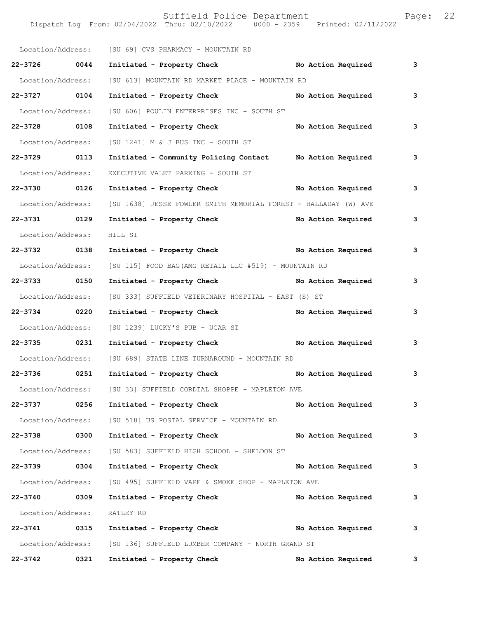Dispatch Log From: 02/04/2022 Thru: 02/10/2022 0000 - 2359 Printed: 02/11/2022 Location/Address: [SU 69] CVS PHARMACY - MOUNTAIN RD **22-3726 0044 Initiated - Property Check No Action Required 3** Location/Address: [SU 613] MOUNTAIN RD MARKET PLACE - MOUNTAIN RD **22-3727 0104 Initiated - Property Check No Action Required 3** Location/Address: [SU 606] POULIN ENTERPRISES INC - SOUTH ST **22-3728 0108 Initiated - Property Check No Action Required 3** Location/Address: [SU 1241] M & J BUS INC - SOUTH ST **22-3729 0113 Initiated - Community Policing Contact No Action Required 3** Location/Address: EXECUTIVE VALET PARKING - SOUTH ST **22-3730 0126 Initiated - Property Check No Action Required 3** Location/Address: [SU 1638] JESSE FOWLER SMITH MEMORIAL FOREST - HALLADAY (W) AVE **22-3731 0129 Initiated - Property Check No Action Required 3** Location/Address: HILL ST **22-3732 0138 Initiated - Property Check No Action Required 3** Location/Address: [SU 115] FOOD BAG(AMG RETAIL LLC #519) - MOUNTAIN RD **22-3733 0150 Initiated - Property Check No Action Required 3** Location/Address: [SU 333] SUFFIELD VETERINARY HOSPITAL - EAST (S) ST **22-3734 0220 Initiated - Property Check No Action Required 3** Location/Address: [SU 1239] LUCKY'S PUB - UCAR ST **22-3735 0231 Initiated - Property Check No Action Required 3** Location/Address: [SU 689] STATE LINE TURNAROUND - MOUNTAIN RD **22-3736 0251 Initiated - Property Check No Action Required 3** Location/Address: [SU 33] SUFFIELD CORDIAL SHOPPE - MAPLETON AVE **22-3737 0256 Initiated - Property Check No Action Required 3** Location/Address: [SU 518] US POSTAL SERVICE - MOUNTAIN RD **22-3738 0300 Initiated - Property Check No Action Required 3** Location/Address: [SU 583] SUFFIELD HIGH SCHOOL - SHELDON ST **22-3739 0304 Initiated - Property Check No Action Required 3** Location/Address: [SU 495] SUFFIELD VAPE & SMOKE SHOP - MAPLETON AVE **22-3740 0309 Initiated - Property Check No Action Required 3** Location/Address: RATLEY RD **22-3741 0315 Initiated - Property Check No Action Required 3** Location/Address: [SU 136] SUFFIELD LUMBER COMPANY - NORTH GRAND ST **22-3742 0321 Initiated - Property Check No Action Required 3**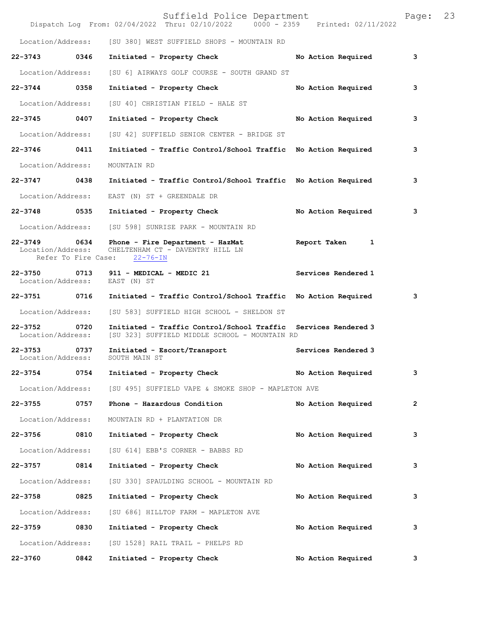|                                                                                                      |                     | Suffield Police Department<br>Dispatch Log From: 02/04/2022 Thru: 02/10/2022 0000 - 2359 Printed: 02/11/2022    |                     | Page:          | 23 |
|------------------------------------------------------------------------------------------------------|---------------------|-----------------------------------------------------------------------------------------------------------------|---------------------|----------------|----|
|                                                                                                      |                     | Location/Address: [SU 380] WEST SUFFIELD SHOPS - MOUNTAIN RD                                                    |                     |                |    |
| 22-3743 0346                                                                                         |                     | Initiated - Property Check                                                                                      | No Action Required  | 3              |    |
| Location/Address:                                                                                    |                     | [SU 6] AIRWAYS GOLF COURSE - SOUTH GRAND ST                                                                     |                     |                |    |
| 22-3744 0358                                                                                         |                     | Initiated - Property Check                                                                                      | No Action Required  | 3              |    |
| Location/Address:                                                                                    |                     | [SU 40] CHRISTIAN FIELD - HALE ST                                                                               |                     |                |    |
| 22-3745 0407                                                                                         |                     | Initiated - Property Check No Action Required                                                                   |                     | 3              |    |
| Location/Address:                                                                                    |                     | [SU 42] SUFFIELD SENIOR CENTER - BRIDGE ST                                                                      |                     |                |    |
| 22-3746 0411                                                                                         |                     | Initiated - Traffic Control/School Traffic No Action Required                                                   |                     | 3              |    |
| Location/Address:                                                                                    |                     | MOUNTAIN RD                                                                                                     |                     |                |    |
| 22-3747 0438                                                                                         |                     | Initiated - Traffic Control/School Traffic No Action Required                                                   |                     | 3              |    |
| Location/Address:                                                                                    |                     | EAST (N) ST + GREENDALE DR                                                                                      |                     |                |    |
| 22-3748 0535                                                                                         |                     | Initiated - Property Check                                                                                      | No Action Required  | 3              |    |
|                                                                                                      |                     | Location/Address: [SU 598] SUNRISE PARK - MOUNTAIN RD                                                           |                     |                |    |
| 22-3749 0634<br>Location/Address:                                                                    | Refer To Fire Case: | Phone - Fire Department - HazMat<br>CHELTENHAM CT - DAVENTRY HILL LN<br>$22 - 76 - IN$                          | Report Taken 1      |                |    |
| Location/Address:                                                                                    |                     | 22-3750 0713 911 - MEDICAL - MEDIC 21<br>EAST (N) ST                                                            | Services Rendered 1 |                |    |
| 22-3751 0716                                                                                         |                     | Initiated - Traffic Control/School Traffic No Action Required                                                   |                     | 3              |    |
| Location/Address:                                                                                    |                     | [SU 583] SUFFIELD HIGH SCHOOL - SHELDON ST                                                                      |                     |                |    |
| 22-3752<br>Location/Address:                                                                         | 0720                | Initiated - Traffic Control/School Traffic Services Rendered 3<br>[SU 323] SUFFIELD MIDDLE SCHOOL - MOUNTAIN RD |                     |                |    |
| 22-3753 0737<br>Location/Address:                                                                    |                     | Initiated - Escort/Transport<br>SOUTH MAIN ST                                                                   | Services Rendered 3 |                |    |
| 22-3754 0754                                                                                         |                     | Initiated - Property Check                                                                                      | No Action Required  | 3              |    |
|                                                                                                      |                     | Location/Address: [SU 495] SUFFIELD VAPE & SMOKE SHOP - MAPLETON AVE                                            |                     |                |    |
| 22-3755 0757                                                                                         |                     | Phone - Hazardous Condition                                                                                     | No Action Required  | $\overline{2}$ |    |
| Location/Address:                                                                                    |                     | MOUNTAIN RD + PLANTATION DR                                                                                     |                     |                |    |
| 22-3756 0810                                                                                         |                     | Initiated - Property Check                                                                                      | No Action Required  | 3              |    |
| Location/Address:                                                                                    |                     | [SU 614] EBB'S CORNER - BABBS RD                                                                                |                     |                |    |
| 22-3757 0814                                                                                         |                     | Initiated - Property Check                                                                                      | No Action Required  | 3              |    |
| Location/Address:                                                                                    |                     | [SU 330] SPAULDING SCHOOL - MOUNTAIN RD                                                                         |                     |                |    |
| 22-3758 0825                                                                                         |                     | Initiated - Property Check                                                                                      | No Action Required  | 3              |    |
| Location/Address:                                                                                    |                     | [SU 686] HILLTOP FARM - MAPLETON AVE                                                                            |                     |                |    |
| 22-3759 0830                                                                                         |                     | Initiated - Property Check                                                                                      | No Action Required  | 3              |    |
| Location/Address:                                                                                    |                     | [SU 1528] RAIL TRAIL - PHELPS RD                                                                                |                     |                |    |
| 22-3760 22-3760 22-3760 22-3760 22-3760 23-3760 23-3760 23-3760 23-3760 23-3760 23-3760 23-3760 23-3 | 0842                | Initiated - Property Check                                                                                      | No Action Required  | 3              |    |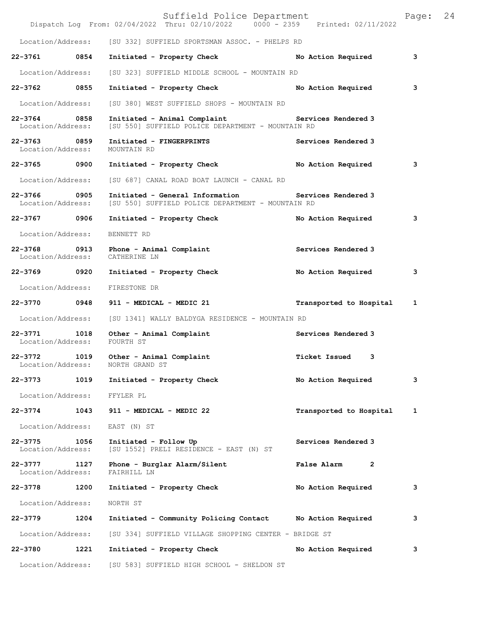|                                   |                   | Suffield Police Department<br>Dispatch Log From: 02/04/2022 Thru: 02/10/2022 0000 - 2359 Printed: 02/11/2022           |                               | Page: | 24 |
|-----------------------------------|-------------------|------------------------------------------------------------------------------------------------------------------------|-------------------------------|-------|----|
|                                   | Location/Address: | [SU 332] SUFFIELD SPORTSMAN ASSOC. - PHELPS RD                                                                         |                               |       |    |
| 22-3761 0854                      |                   | Initiated - Property Check                                                                                             | No Action Required            | 3     |    |
| Location/Address:                 |                   | [SU 323] SUFFIELD MIDDLE SCHOOL - MOUNTAIN RD                                                                          |                               |       |    |
| 22-3762 0855                      |                   | Initiated - Property Check                                                                                             | No Action Required            | з     |    |
| Location/Address:                 |                   | [SU 380] WEST SUFFIELD SHOPS - MOUNTAIN RD                                                                             |                               |       |    |
| 22-3764 0858<br>Location/Address: |                   | Initiated - Animal Complaint <b>Example 2</b> Services Rendered 3<br>[SU 550] SUFFIELD POLICE DEPARTMENT - MOUNTAIN RD |                               |       |    |
| 22-3763 0859<br>Location/Address: |                   | Initiated - FINGERPRINTS<br>MOUNTAIN RD                                                                                | Services Rendered 3           |       |    |
| 22-3765 0900                      |                   | Initiated - Property Check                                                                                             | No Action Required            | з     |    |
|                                   | Location/Address: | [SU 687] CANAL ROAD BOAT LAUNCH - CANAL RD                                                                             |                               |       |    |
| 22-3766 0905<br>Location/Address: |                   | Initiated - General Information<br>[SU 550] SUFFIELD POLICE DEPARTMENT - MOUNTAIN RD                                   | Services Rendered 3           |       |    |
| 22-3767                           | 0906              | Initiated - Property Check                                                                                             | No Action Required            | 3     |    |
| Location/Address:                 |                   | BENNETT RD                                                                                                             |                               |       |    |
| 22-3768 0913<br>Location/Address: |                   | Phone - Animal Complaint<br>CATHERINE LN                                                                               | Services Rendered 3           |       |    |
| 22-3769 0920                      |                   | Initiated - Property Check                                                                                             | No Action Required            | з     |    |
| Location/Address:                 |                   | FIRESTONE DR                                                                                                           |                               |       |    |
| 22-3770 0948                      |                   | 911 - MEDICAL - MEDIC 21                                                                                               | Transported to Hospital       | 1     |    |
| Location/Address:                 |                   | [SU 1341] WALLY BALDYGA RESIDENCE - MOUNTAIN RD                                                                        |                               |       |    |
| 22-3771 1018<br>Location/Address: |                   | Other - Animal Complaint<br>FOURTH ST                                                                                  | Services Rendered 3           |       |    |
| 22-3772<br>Location/Address:      | 1019              | Other - Animal Complaint<br>NORTH GRAND ST                                                                             | Ticket Issued 3               |       |    |
| 22-3773                           | 1019              | Initiated - Property Check                                                                                             | No Action Required            | з     |    |
|                                   | Location/Address: | FFYLER PL                                                                                                              |                               |       |    |
| 22-3774                           | 1043              | 911 - MEDICAL - MEDIC 22                                                                                               | Transported to Hospital       | 1     |    |
|                                   | Location/Address: | EAST (N) ST                                                                                                            |                               |       |    |
| 22-3775<br>Location/Address:      | 1056              | Initiated - Follow Up<br>[SU 1552] PRELI RESIDENCE - EAST (N) ST                                                       | Services Rendered 3           |       |    |
| $22 - 3777$<br>Location/Address:  | 1127              | Phone - Burglar Alarm/Silent<br>FAIRHILL LN                                                                            | False Alarm<br>$\overline{2}$ |       |    |
| 22-3778                           | 1200              | Initiated - Property Check                                                                                             | No Action Required            | з     |    |
| Location/Address:                 |                   | NORTH ST                                                                                                               |                               |       |    |
| 22-3779                           | 1204              | Initiated - Community Policing Contact                                                                                 | No Action Required            | з     |    |
|                                   | Location/Address: | [SU 334] SUFFIELD VILLAGE SHOPPING CENTER - BRIDGE ST                                                                  |                               |       |    |
| 22-3780                           | 1221              | Initiated - Property Check                                                                                             | No Action Required            | з     |    |
| Location/Address:                 |                   | [SU 583] SUFFIELD HIGH SCHOOL - SHELDON ST                                                                             |                               |       |    |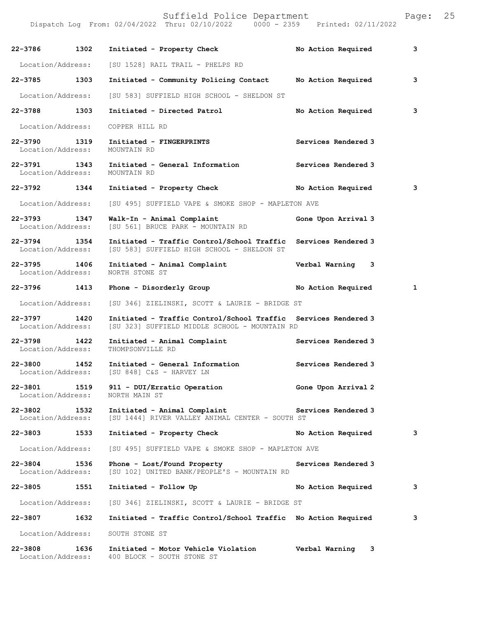| 22-3786 1302                      |      | Initiated - Property Check                                                                                      | No Action Required  | 3            |
|-----------------------------------|------|-----------------------------------------------------------------------------------------------------------------|---------------------|--------------|
| Location/Address:                 |      | [SU 1528] RAIL TRAIL - PHELPS RD                                                                                |                     |              |
| 22-3785 1303                      |      | Initiated - Community Policing Contact                                                                          | No Action Required  | 3            |
| Location/Address:                 |      | [SU 583] SUFFIELD HIGH SCHOOL - SHELDON ST                                                                      |                     |              |
| 22-3788 1303                      |      | Initiated - Directed Patrol                                                                                     | No Action Required  | 3            |
| Location/Address:                 |      | COPPER HILL RD                                                                                                  |                     |              |
| 22-3790 1319<br>Location/Address: |      | Initiated - FINGERPRINTS<br>MOUNTAIN RD                                                                         | Services Rendered 3 |              |
| 22-3791 1343<br>Location/Address: |      | Initiated - General Information<br>MOUNTAIN RD                                                                  | Services Rendered 3 |              |
| 22-3792 1344                      |      | Initiated - Property Check No Action Required                                                                   |                     | 3            |
| Location/Address:                 |      | [SU 495] SUFFIELD VAPE & SMOKE SHOP - MAPLETON AVE                                                              |                     |              |
| 22-3793 1347<br>Location/Address: |      | Walk-In - Animal Complaint<br>[SU 561] BRUCE PARK - MOUNTAIN RD                                                 | Gone Upon Arrival 3 |              |
| 22-3794 1354<br>Location/Address: |      | Initiated - Traffic Control/School Traffic<br>[SU 583] SUFFIELD HIGH SCHOOL - SHELDON ST                        | Services Rendered 3 |              |
| 22-3795 1406<br>Location/Address: |      | Initiated - Animal Complaint<br>NORTH STONE ST                                                                  | Verbal Warning 3    |              |
| 22-3796 1413                      |      | Phone - Disorderly Group                                                                                        | No Action Required  | $\mathbf{1}$ |
| Location/Address:                 |      | [SU 346] ZIELINSKI, SCOTT & LAURIE - BRIDGE ST                                                                  |                     |              |
| 22-3797 1420<br>Location/Address: |      | Initiated - Traffic Control/School Traffic Services Rendered 3<br>[SU 323] SUFFIELD MIDDLE SCHOOL - MOUNTAIN RD |                     |              |
| 22-3798 1422<br>Location/Address: |      | Initiated - Animal Complaint<br>THOMPSONVILLE RD                                                                | Services Rendered 3 |              |
| 22-3800 1452                      |      | Initiated - General Information<br>Location/Address: [SU 848] C&S - HARVEY LN                                   | Services Rendered 3 |              |
| 22-3801<br>Location/Address:      | 1519 | 911 - DUI/Erratic Operation<br>NORTH MAIN ST                                                                    | Gone Upon Arrival 2 |              |
| 22-3802<br>Location/Address:      | 1532 | Initiated - Animal Complaint<br>[SU 1444] RIVER VALLEY ANIMAL CENTER - SOUTH ST                                 | Services Rendered 3 |              |
| $22 - 3803$                       | 1533 | Initiated - Property Check                                                                                      | No Action Required  | 3            |
| Location/Address:                 |      | [SU 495] SUFFIELD VAPE & SMOKE SHOP - MAPLETON AVE                                                              |                     |              |
| 22-3804<br>Location/Address:      | 1536 | Phone - Lost/Found Property<br>[SU 102] UNITED BANK/PEOPLE'S - MOUNTAIN RD                                      | Services Rendered 3 |              |
| 22-3805 1551                      |      | Initiated - Follow Up                                                                                           | No Action Required  | 3            |
| Location/Address:                 |      | [SU 346] ZIELINSKI, SCOTT & LAURIE - BRIDGE ST                                                                  |                     |              |
| 22-3807                           | 1632 | Initiated - Traffic Control/School Traffic No Action Required                                                   |                     | 3            |
| Location/Address:                 |      | SOUTH STONE ST                                                                                                  |                     |              |
| 22-3808<br>Location/Address:      | 1636 | Initiated - Motor Vehicle Violation<br>400 BLOCK - SOUTH STONE ST                                               | Verbal Warning<br>3 |              |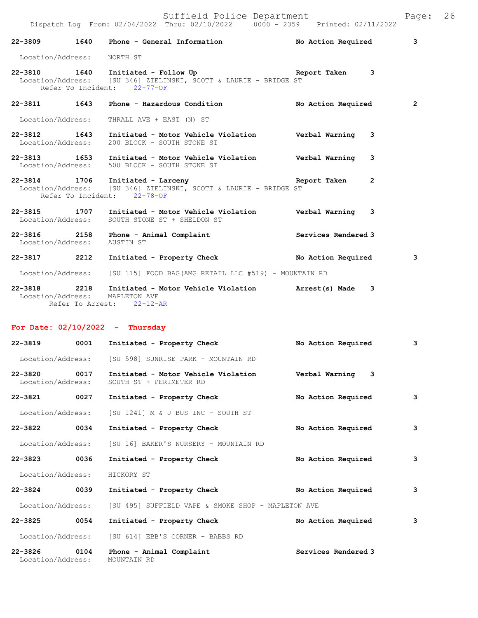|                             | Dispatch Log From: 02/04/2022 Thru: 02/10/2022   0000 - 2359   Printed: 02/11/2022                                                                        |                |                         |
|-----------------------------|-----------------------------------------------------------------------------------------------------------------------------------------------------------|----------------|-------------------------|
|                             | 22-3809 1640 Phone - General Information No Action Required                                                                                               |                | $\overline{\mathbf{3}}$ |
| Location/Address: NORTH ST  |                                                                                                                                                           |                |                         |
|                             | 22-3810 1640 Initiated - Follow Up 1640 Report Taken 3<br>Location/Address: [SU 346] ZIELINSKI, SCOTT & LAURIE - BRIDGE ST<br>Refer To Incident: 22-77-OF |                |                         |
|                             | 22-3811 1643 Phone - Hazardous Condition 1997 No Action Required                                                                                          |                | $\overline{2}$          |
|                             | Location/Address: THRALL AVE + EAST (N) ST                                                                                                                |                |                         |
|                             | 22-3812 1643 Initiated - Motor Vehicle Violation Verbal Warning 3<br>Location/Address: 200 BLOCK - SOUTH STONE ST                                         |                |                         |
|                             | 22-3813 1653 Initiated - Motor Vehicle Violation Verbal Warning 3<br>Location/Address: 500 BLOCK - SOUTH STONE ST                                         |                |                         |
|                             | 22-3814 1706 Initiated - Larceny<br>Location/Address: [SU 346] ZIELINSKI, SCOTT & LAURIE - BRIDGE ST<br>Refer To Incident: 22-78-OF                       | $\overline{2}$ |                         |
|                             | 22-3815 1707 Initiated - Motor Vehicle Violation Verbal Warning 3<br>Location/Address: SOUTH STONE ST + SHELDON ST                                        |                |                         |
| Location/Address: AUSTIN ST | 22-3816 2158 Phone - Animal Complaint Commercial Services Rendered 3                                                                                      |                |                         |
|                             | 22-3817 2212 Initiated - Property Check No Action Required                                                                                                |                | 3                       |
|                             | Location/Address: [SU 115] FOOD BAG (AMG RETAIL LLC #519) - MOUNTAIN RD                                                                                   |                |                         |
|                             | 22-3818 2218 Initiated - Motor Vehicle Violation Marrest(s) Made 3<br>Location/Address: MAPLETON AVE<br>Refer To Arrest: 22-12-AR                         |                |                         |

## **For Date: 02/10/2022 - Thursday**

| 22-3819                           | 0001 | Initiated - Property Check                                     | No Action Required  | 3 |
|-----------------------------------|------|----------------------------------------------------------------|---------------------|---|
| Location/Address:                 |      | [SU 598] SUNRISE PARK - MOUNTAIN RD                            |                     |   |
| $22 - 3820$<br>Location/Address:  | 0017 | Initiated - Motor Vehicle Violation<br>SOUTH ST + PERIMETER RD | Verbal Warning<br>3 |   |
| 22-3821                           | 0027 | Initiated - Property Check                                     | No Action Required  | 3 |
| Location/Address:                 |      | ISU 12411 M & J BUS INC - SOUTH ST                             |                     |   |
| $22 - 3822$                       | 0034 | Initiated - Property Check                                     | No Action Required  | 3 |
| Location/Address:                 |      | ISU 161 BAKER'S NURSERY - MOUNTAIN RD                          |                     |   |
| 22-3823                           | 0036 | Initiated - Property Check                                     | No Action Required  | 3 |
| Location/Address:                 |      | HICKORY ST                                                     |                     |   |
| 22-3824                           | 0039 | Initiated - Property Check                                     | No Action Required  | 3 |
| Location/Address:                 |      | [SU 495] SUFFIELD VAPE & SMOKE SHOP - MAPLETON AVE             |                     |   |
| 22-3825                           | 0054 | Initiated - Property Check                                     | No Action Required  | 3 |
| Location/Address:                 |      | [SU 614] EBB'S CORNER - BABBS RD                               |                     |   |
| 22-3826 0104<br>Location/Address: |      | Phone - Animal Complaint<br>MOUNTAIN RD                        | Services Rendered 3 |   |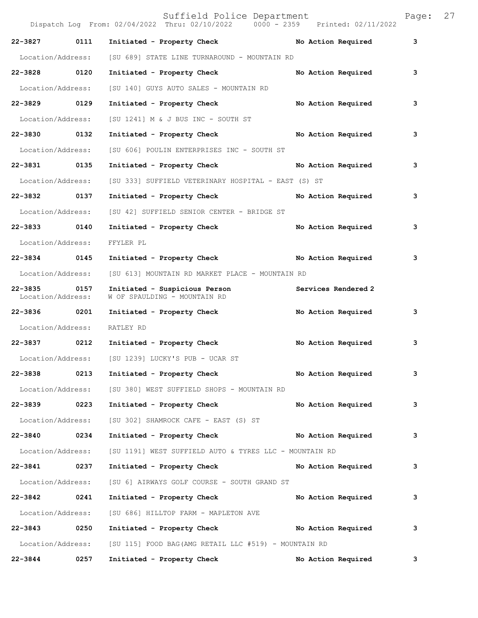|                                  |      | Suffield Police Department<br>Dispatch Log From: 02/04/2022 Thru: 02/10/2022 0000 - 2359 Printed: 02/11/2022 |                     | Page: | 27 |
|----------------------------------|------|--------------------------------------------------------------------------------------------------------------|---------------------|-------|----|
| 22-3827                          | 0111 | Initiated - Property Check No Action Required                                                                |                     | 3     |    |
| Location/Address:                |      | [SU 689] STATE LINE TURNAROUND - MOUNTAIN RD                                                                 |                     |       |    |
| 22-3828 0120                     |      | Initiated - Property Check                                                                                   | No Action Required  | 3     |    |
| Location/Address:                |      | [SU 140] GUYS AUTO SALES - MOUNTAIN RD                                                                       |                     |       |    |
| $22 - 3829$                      | 0129 | Initiated - Property Check                                                                                   | No Action Required  | 3     |    |
| Location/Address:                |      | $[SU 1241]$ M & J BUS INC - SOUTH ST                                                                         |                     |       |    |
| 22-3830 0132                     |      | Initiated - Property Check                                                                                   | No Action Required  | 3     |    |
| Location/Address:                |      | [SU 606] POULIN ENTERPRISES INC - SOUTH ST                                                                   |                     |       |    |
| 22-3831 0135                     |      | Initiated - Property Check                                                                                   | No Action Required  | 3     |    |
| Location/Address:                |      | [SU 333] SUFFIELD VETERINARY HOSPITAL - EAST (S) ST                                                          |                     |       |    |
| 22-3832 0137                     |      | Initiated - Property Check                                                                                   | No Action Required  | 3     |    |
| Location/Address:                |      | [SU 42] SUFFIELD SENIOR CENTER - BRIDGE ST                                                                   |                     |       |    |
| 22-3833 0140                     |      | Initiated - Property Check                                                                                   | No Action Required  | 3     |    |
| Location/Address:                |      | FFYLER PL                                                                                                    |                     |       |    |
| 22-3834 0145                     |      | Initiated - Property Check No Action Required                                                                |                     | 3     |    |
| Location/Address:                |      | [SU 613] MOUNTAIN RD MARKET PLACE - MOUNTAIN RD                                                              |                     |       |    |
| $22 - 3835$<br>Location/Address: | 0157 | Initiated - Suspicious Person<br>W OF SPAULDING - MOUNTAIN RD                                                | Services Rendered 2 |       |    |
| 22-3836 0201                     |      | Initiated - Property Check                                                                                   | No Action Required  | 3     |    |
| Location/Address:                |      | RATLEY RD                                                                                                    |                     |       |    |
| 22-3837 0212                     |      | Initiated - Property Check                                                                                   | No Action Required  | 3     |    |
| Location/Address:                |      | [SU 1239] LUCKY'S PUB - UCAR ST                                                                              |                     |       |    |
| 22-3838                          | 0213 | Initiated - Property Check                                                                                   | No Action Required  | 3     |    |
| Location/Address:                |      | [SU 380] WEST SUFFIELD SHOPS - MOUNTAIN RD                                                                   |                     |       |    |
| 22-3839 0223                     |      | Initiated - Property Check                                                                                   | No Action Required  | 3     |    |
| Location/Address:                |      | [SU 302] SHAMROCK CAFE - EAST (S) ST                                                                         |                     |       |    |
| $22 - 3840$                      | 0234 | Initiated - Property Check                                                                                   | No Action Required  | 3     |    |
| Location/Address:                |      | [SU 1191] WEST SUFFIELD AUTO & TYRES LLC - MOUNTAIN RD                                                       |                     |       |    |
| 22-3841                          | 0237 | Initiated - Property Check                                                                                   | No Action Required  | 3     |    |
| Location/Address:                |      | [SU 6] AIRWAYS GOLF COURSE - SOUTH GRAND ST                                                                  |                     |       |    |
| 22-3842 0241                     |      | Initiated - Property Check                                                                                   | No Action Required  | 3     |    |
| Location/Address:                |      | [SU 686] HILLTOP FARM - MAPLETON AVE                                                                         |                     |       |    |
| $22 - 3843$                      | 0250 | Initiated - Property Check No Action Required                                                                |                     | 3     |    |
| Location/Address:                |      | [SU 115] FOOD BAG (AMG RETAIL LLC #519) - MOUNTAIN RD                                                        |                     |       |    |
| $22 - 3844$                      | 0257 | Initiated - Property Check                                                                                   | No Action Required  | 3     |    |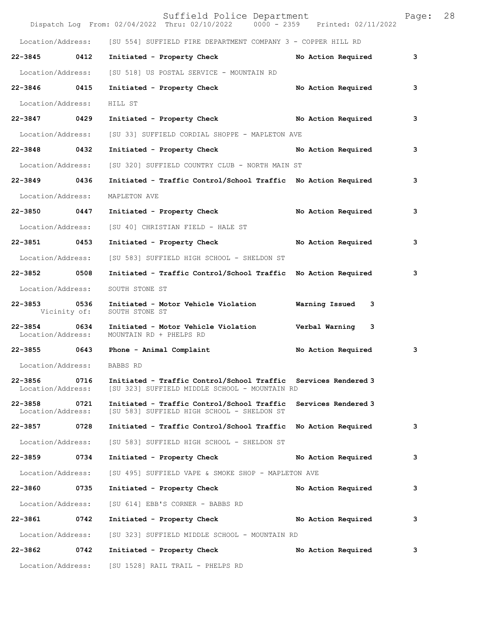|                                   |      | Suffield Police Department<br>Dispatch Log From: 02/04/2022 Thru: 02/10/2022 0000 - 2359 Printed: 02/11/2022    |                     | Page: | 28 |
|-----------------------------------|------|-----------------------------------------------------------------------------------------------------------------|---------------------|-------|----|
|                                   |      | Location/Address: [SU 554] SUFFIELD FIRE DEPARTMENT COMPANY 3 - COPPER HILL RD                                  |                     |       |    |
| 22-3845 0412                      |      | Initiated - Property Check                                                                                      | No Action Required  | 3     |    |
|                                   |      | Location/Address: [SU 518] US POSTAL SERVICE - MOUNTAIN RD                                                      |                     |       |    |
| 22-3846 0415                      |      | Initiated - Property Check No Action Required                                                                   |                     | 3     |    |
| Location/Address:                 |      | HILL ST                                                                                                         |                     |       |    |
| 22-3847 0429                      |      | Initiated - Property Check No Action Required                                                                   |                     | 3     |    |
| Location/Address:                 |      | [SU 33] SUFFIELD CORDIAL SHOPPE - MAPLETON AVE                                                                  |                     |       |    |
| 22-3848 0432                      |      | Initiated - Property Check No Action Required                                                                   |                     | 3     |    |
| Location/Address:                 |      | [SU 320] SUFFIELD COUNTRY CLUB - NORTH MAIN ST                                                                  |                     |       |    |
| 22-3849 0436                      |      | Initiated - Traffic Control/School Traffic No Action Required                                                   |                     | 3     |    |
| Location/Address:                 |      | MAPLETON AVE                                                                                                    |                     |       |    |
| 22-3850 0447                      |      | Initiated - Property Check                                                                                      | No Action Required  | з     |    |
| Location/Address:                 |      | [SU 40] CHRISTIAN FIELD - HALE ST                                                                               |                     |       |    |
| 22-3851 0453                      |      | Initiated - Property Check No Action Required                                                                   |                     | 3     |    |
| Location/Address:                 |      | [SU 583] SUFFIELD HIGH SCHOOL - SHELDON ST                                                                      |                     |       |    |
| 22-3852 0508                      |      | Initiated - Traffic Control/School Traffic No Action Required                                                   |                     | 3     |    |
| Location/Address:                 |      | SOUTH STONE ST                                                                                                  |                     |       |    |
| 22-3853 0536<br>Vicinity of:      |      | Initiated - Motor Vehicle Violation Marning Issued 3<br>SOUTH STONE ST                                          |                     |       |    |
| 22-3854 0634<br>Location/Address: |      | Initiated - Motor Vehicle Violation Verbal Warning 3<br>MOUNTAIN RD + PHELPS RD                                 |                     |       |    |
|                                   |      | 22-3855 0643 Phone - Animal Complaint                                                                           | No Action Required  | 3     |    |
| Location/Address:                 |      | BABBS RD                                                                                                        |                     |       |    |
| 22-3856<br>Location/Address:      | 0716 | Initiated - Traffic Control/School Traffic Services Rendered 3<br>[SU 323] SUFFIELD MIDDLE SCHOOL - MOUNTAIN RD |                     |       |    |
| 22-3858 0721<br>Location/Address: |      | Initiated - Traffic Control/School Traffic<br>[SU 583] SUFFIELD HIGH SCHOOL - SHELDON ST                        | Services Rendered 3 |       |    |
| 22-3857 0728                      |      | Initiated - Traffic Control/School Traffic No Action Required                                                   |                     | з     |    |
| Location/Address:                 |      | [SU 583] SUFFIELD HIGH SCHOOL - SHELDON ST                                                                      |                     |       |    |
| 22-3859                           | 0734 | Initiated - Property Check                                                                                      | No Action Required  | 3     |    |
| Location/Address:                 |      | [SU 495] SUFFIELD VAPE & SMOKE SHOP - MAPLETON AVE                                                              |                     |       |    |
| 22-3860 0735                      |      | Initiated - Property Check                                                                                      | No Action Required  | з     |    |
| Location/Address:                 |      | [SU 614] EBB'S CORNER - BABBS RD                                                                                |                     |       |    |
| 22-3861 0742                      |      | Initiated - Property Check                                                                                      | No Action Required  | 3     |    |
| Location/Address:                 |      | [SU 323] SUFFIELD MIDDLE SCHOOL - MOUNTAIN RD                                                                   |                     |       |    |
| 22-3862                           | 0742 | Initiated - Property Check                                                                                      | No Action Required  | з     |    |
|                                   |      | Location/Address: [SU 1528] RAIL TRAIL - PHELPS RD                                                              |                     |       |    |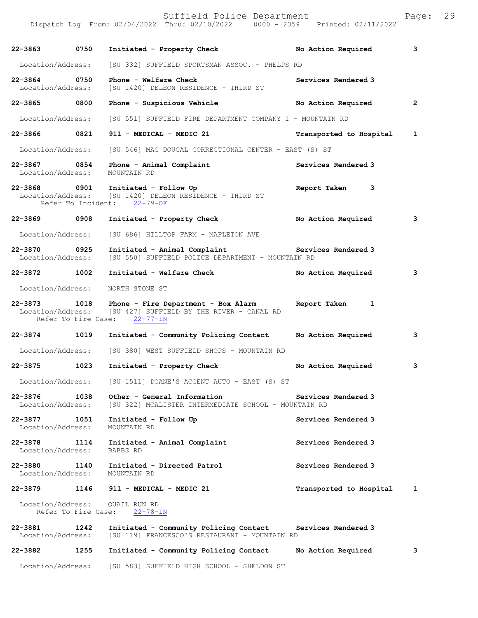Suffield Police Department Page: 29 Dispatch Log From: 02/04/2022 Thru: 02/10/2022 0000 - 2359 Printed: 02/11/2022 **22-3863 0750 Initiated - Property Check No Action Required 3** Location/Address: [SU 332] SUFFIELD SPORTSMAN ASSOC. - PHELPS RD **22-3864 0750 Phone - Welfare Check Services Rendered 3**  Location/Address: [SU 1420] DELEON RESIDENCE - THIRD ST **22-3865 0800 Phone - Suspicious Vehicle No Action Required 2** Location/Address: [SU 551] SUFFIELD FIRE DEPARTMENT COMPANY 1 - MOUNTAIN RD **22-3866 0821 911 - MEDICAL - MEDIC 21 Transported to Hospital 1** Location/Address: [SU 546] MAC DOUGAL CORRECTIONAL CENTER - EAST (S) ST 22-3867 0854 Phone - Animal Complaint **1200 Services Rendered 3**  Location/Address: MOUNTAIN RD **22-3868 0901 Initiated - Follow Up Report Taken 3**  Location/Address: [SU 1420] DELEON RESIDENCE - THIRD ST Refer To Incident: 22-79-OF **22-3869 0908 Initiated - Property Check No Action Required 3** Location/Address: [SU 686] HILLTOP FARM - MAPLETON AVE **22-3870 0925 Initiated - Animal Complaint Services Rendered 3**  Location/Address: [SU 550] SUFFIELD POLICE DEPARTMENT - MOUNTAIN RD **22-3872 1002 Initiated - Welfare Check No Action Required 3** Location/Address: NORTH STONE ST **22-3873 1018 Phone - Fire Department - Box Alarm Report Taken 1**  Location/Address: [SU 427] SUFFIELD BY THE RIVER - CANAL RD<br>Refer To Fire Case: 22-77-IN Refer To Fire Case: **22-3874 1019 Initiated - Community Policing Contact No Action Required 3** Location/Address: [SU 380] WEST SUFFIELD SHOPS - MOUNTAIN RD **22-3875 1023 Initiated - Property Check No Action Required 3** Location/Address: [SU 1511] DOANE'S ACCENT AUTO - EAST (S) ST **22-3876 1038 Other - General Information Services Rendered 3**<br>Location/Address: [SU 322] MCALISTER INTERMEDIATE SCHOOL - MOUNTAIN RD [SU 322] MCALISTER INTERMEDIATE SCHOOL - MOUNTAIN RD **22-3877 1051 Initiated - Follow Up Services Rendered 3**  Location/Address: MOUNTAIN RD **22-3878 1114 Initiated - Animal Complaint Services Rendered 3**  Location/Address: **22-3880 1140 Initiated - Directed Patrol Services Rendered 3**  Location/Address: **22-3879 1146 911 - MEDICAL - MEDIC 21 Transported to Hospital 1** Location/Address: QUAIL RUN RD Refer To Fire Case: 22-78-IN **22-3881 1242 Initiated - Community Policing Contact Services Rendered 3**  [SU 119] FRANCESCO'S RESTAURANT - MOUNTAIN RD **22-3882 1255 Initiated - Community Policing Contact No Action Required 3** Location/Address: [SU 583] SUFFIELD HIGH SCHOOL - SHELDON ST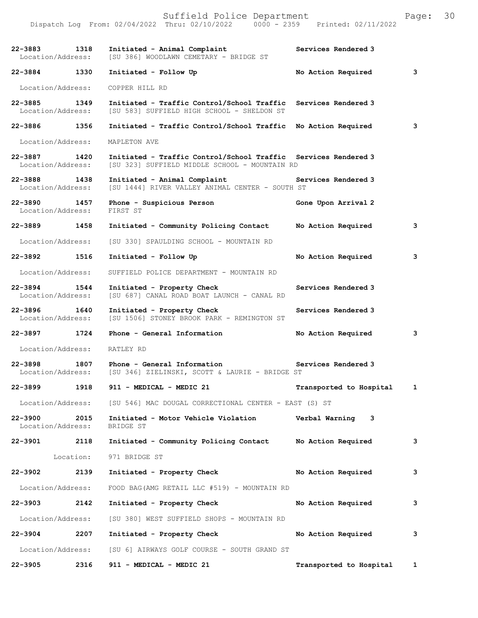|                                   |      | 22-3883 1318 Initiated - Animal Complaint<br>Location/Address: [SU 386] WOODLAWN CEMETARY - BRIDGE ST<br>Initiated - Animal Complaint | Services Rendered 3       |   |
|-----------------------------------|------|---------------------------------------------------------------------------------------------------------------------------------------|---------------------------|---|
| 22-3884 1330                      |      | Initiated - Follow Up                                                                                                                 | No Action Required        | 3 |
| Location/Address:                 |      | COPPER HILL RD                                                                                                                        |                           |   |
| 22-3885 1349                      |      | Initiated - Traffic Control/School Traffic<br>Location/Address: [SU 583] SUFFIELD HIGH SCHOOL - SHELDON ST                            | Services Rendered 3       |   |
| 22-3886 1356                      |      | Initiated - Traffic Control/School Traffic No Action Required                                                                         |                           | 3 |
|                                   |      | Location/Address: MAPLETON AVE                                                                                                        |                           |   |
| 22-3887 1420<br>Location/Address: |      | Initiated - Traffic Control/School Traffic Services Rendered 3<br>[SU 323] SUFFIELD MIDDLE SCHOOL - MOUNTAIN RD                       |                           |   |
| 22-3888 1438<br>Location/Address: |      | Initiated - Animal Complaint The Services Rendered 3<br>[SU 1444] RIVER VALLEY ANIMAL CENTER - SOUTH ST                               |                           |   |
| 22-3890 1457<br>Location/Address: |      | Phone - Suspicious Person<br>FIRST ST                                                                                                 | Gone Upon Arrival 2       |   |
| 22-3889 1458                      |      | Initiated - Community Policing Contact No Action Required                                                                             |                           | 3 |
| Location/Address:                 |      | [SU 330] SPAULDING SCHOOL - MOUNTAIN RD                                                                                               |                           |   |
| 22-3892 1516                      |      | Initiated - Follow Up                                                                                                                 | No Action Required        | 3 |
| Location/Address:                 |      | SUFFIELD POLICE DEPARTMENT - MOUNTAIN RD                                                                                              |                           |   |
| 22-3894 1544<br>Location/Address: |      | Initiated - Property Check<br>[SU 687] CANAL ROAD BOAT LAUNCH - CANAL RD                                                              | Services Rendered 3       |   |
| 22-3896 1640<br>Location/Address: |      | Initiated - Property Check<br>[SU 1506] STONEY BROOK PARK - REMINGTON ST                                                              | Services Rendered 3       |   |
| 22-3897 1724                      |      | Phone - General Information                                                                                                           | No Action Required        | 3 |
| Location/Address: RATLEY RD       |      |                                                                                                                                       |                           |   |
| 22-3898                           |      | 1807 Phone - General Information<br>Location/Address: [SU 346] ZIELINSKI, SCOTT & LAURIE - BRIDGE ST                                  | Services Rendered 3       |   |
| 22-3899                           | 1918 | 911 - MEDICAL - MEDIC 21                                                                                                              | Transported to Hospital 1 |   |
|                                   |      | Location/Address: [SU 546] MAC DOUGAL CORRECTIONAL CENTER - EAST (S) ST                                                               |                           |   |
| 22-3900<br>Location/Address:      | 2015 | Initiated - Motor Vehicle Violation Verbal Warning 3<br>BRIDGE ST                                                                     |                           |   |
| 22-3901 2118                      |      | Initiated - Community Policing Contact Mo Action Required                                                                             |                           | 3 |
|                                   |      | Location: 971 BRIDGE ST                                                                                                               |                           |   |
| 22-3902                           | 2139 | Initiated - Property Check                                                                                                            | No Action Required        | 3 |
| Location/Address:                 |      | FOOD BAG (AMG RETAIL LLC #519) - MOUNTAIN RD                                                                                          |                           |   |
| 22-3903 22-3903                   | 2142 | Initiated - Property Check                                                                                                            | No Action Required        | 3 |
| Location/Address:                 |      | [SU 380] WEST SUFFIELD SHOPS - MOUNTAIN RD                                                                                            |                           |   |
| 22-3904                           | 2207 | Initiated - Property Check                                                                                                            | No Action Required        | 3 |
|                                   |      | Location/Address: [SU 6] AIRWAYS GOLF COURSE - SOUTH GRAND ST                                                                         |                           |   |
| 22-3905                           | 2316 | 911 - MEDICAL - MEDIC 21                                                                                                              | Transported to Hospital 1 |   |